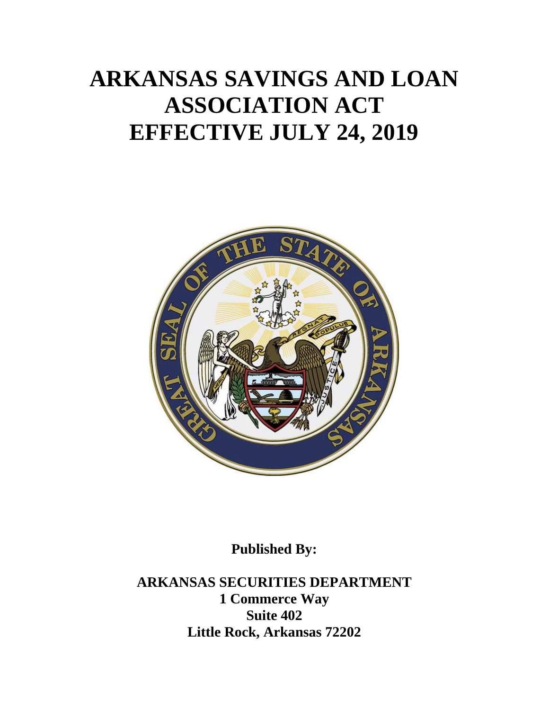# **ARKANSAS SAVINGS AND LOAN ASSOCIATION ACT EFFECTIVE JULY 24, 2019**



**Published By:**

**ARKANSAS SECURITIES DEPARTMENT 1 Commerce Way Suite 402 Little Rock, Arkansas 72202**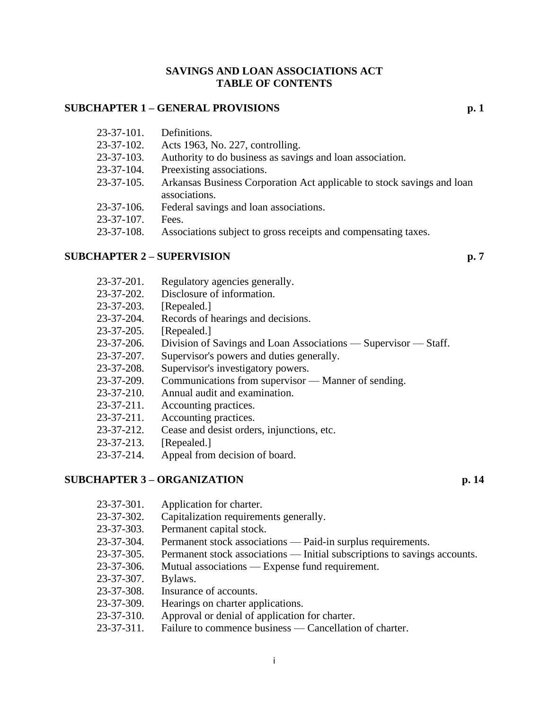#### **SAVINGS AND LOAN ASSOCIATIONS ACT TABLE OF CONTENTS**

# **SUBCHAPTER 1 – GENERAL PROVISIONS p. 1**

| $23 - 37 - 101$ . | Definitions.                                                           |
|-------------------|------------------------------------------------------------------------|
| $23 - 37 - 102$ . | Acts 1963, No. 227, controlling.                                       |
| $23 - 37 - 103$ . | Authority to do business as savings and loan association.              |
| $23 - 37 - 104$ . | Preexisting associations.                                              |
| $23 - 37 - 105$ . | Arkansas Business Corporation Act applicable to stock savings and loan |
|                   | associations.                                                          |
| $23-37-106$ .     | Federal savings and loan associations.                                 |
| $23 - 37 - 107$ . | Fees.                                                                  |
| 23-37-108.        | Associations subject to gross receipts and compensating taxes.         |

#### **SUBCHAPTER 2 – SUPERVISION p. 7**

- 23-37-201. Regulatory agencies generally.
- 23-37-202. Disclosure of information.
- 23-37-203. [Repealed.]
- 23-37-204. Records of hearings and decisions.
- 23-37-205. [Repealed.]
- 23-37-206. Division of Savings and Loan Associations Supervisor Staff.
- 23-37-207. Supervisor's powers and duties generally.
- 23-37-208. Supervisor's investigatory powers.
- 23-37-209. Communications from supervisor Manner of sending.
- 23-37-210. Annual audit and examination.
- 23-37-211. Accounting practices.
- 23-37-211. Accounting practices.
- 23-37-212. Cease and desist orders, injunctions, etc.
- 23-37-213. [Repealed.]
- 23-37-214. Appeal from decision of board.

# **SUBCHAPTER 3 – ORGANIZATION p. 14**

- 23-37-301. Application for charter.
- 23-37-302. Capitalization requirements generally.
- 23-37-303. Permanent capital stock.
- 23-37-304. Permanent stock associations Paid-in surplus requirements.
- 23-37-305. Permanent stock associations Initial subscriptions to savings accounts.
- 23-37-306. Mutual associations Expense fund requirement.
- 23-37-307. Bylaws.
- 23-37-308. Insurance of accounts.
- 23-37-309. Hearings on charter applications.
- 23-37-310. Approval or denial of application for charter.
- 23-37-311. Failure to commence business Cancellation of charter.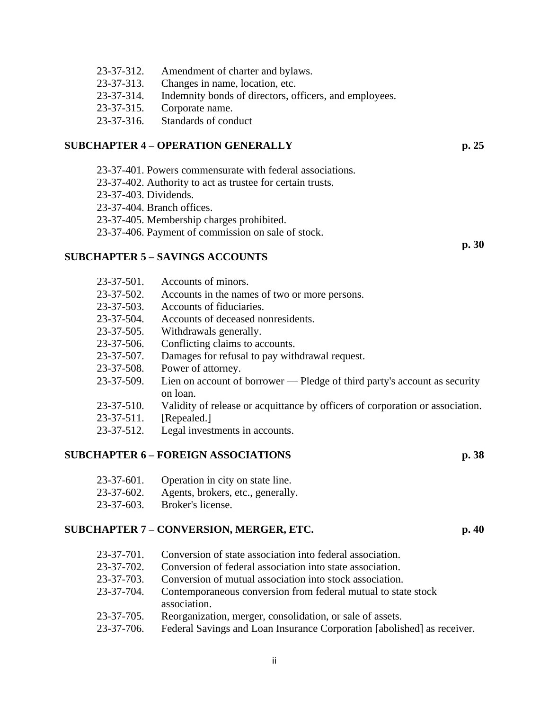| 23-37-312.       | Amendment of charter and bylaws.                       |
|------------------|--------------------------------------------------------|
| 23-37-313.       | Changes in name, location, etc.                        |
| 23-37-314.       | Indemnity bonds of directors, officers, and employees. |
| 23-37-315.       | Corporate name.                                        |
| $23 - 37 - 316.$ | Standards of conduct                                   |

#### **SUBCHAPTER 4 – OPERATION GENERALLY p. 25**

23-37-401. Powers commensurate with federal associations.

23-37-402. Authority to act as trustee for certain trusts.

23-37-403. Dividends.

23-37-404. Branch offices.

23-37-405. Membership charges prohibited.

23-37-406. Payment of commission on sale of stock.

#### **SUBCHAPTER 5 – SAVINGS ACCOUNTS**

| $23 - 37 - 501$ . | Accounts of minors.                                                                   |
|-------------------|---------------------------------------------------------------------------------------|
| $23 - 37 - 502$ . | Accounts in the names of two or more persons.                                         |
| $23 - 37 - 503$ . | Accounts of fiduciaries.                                                              |
| $23 - 37 - 504$ . | Accounts of deceased nonresidents.                                                    |
| $23 - 37 - 505$ . | Withdrawals generally.                                                                |
| $23 - 37 - 506$ . | Conflicting claims to accounts.                                                       |
| 23-37-507.        | Damages for refusal to pay withdrawal request.                                        |
| 23-37-508.        | Power of attorney.                                                                    |
| 23-37-509.        | Lien on account of borrower — Pledge of third party's account as security<br>on loan. |
| $23 - 37 - 510$ . | Validity of release or acquittance by officers of corporation or association.         |
| $23 - 37 - 511$ . | [Repealed.]                                                                           |
| 23-37-512.        | Legal investments in accounts.                                                        |

# **SUBCHAPTER 6 – FOREIGN ASSOCIATIONS p. 38**

| $23 - 37 - 601$ . | Operation in city on state line.  |
|-------------------|-----------------------------------|
| $23 - 37 - 602$ . | Agents, brokers, etc., generally. |
| $23 - 37 - 603$ . | Broker's license.                 |

# **SUBCHAPTER 7 – CONVERSION, MERGER, ETC. p. 40**

| 23-37-701. | Conversion of state association into federal association.                     |
|------------|-------------------------------------------------------------------------------|
| 23-37-702. | Conversion of federal association into state association.                     |
| 23-37-703. | Conversion of mutual association into stock association.                      |
| 23-37-704. | Contemporaneous conversion from federal mutual to state stock<br>association. |
| 23-37-705. | Reorganization, merger, consolidation, or sale of assets.                     |
| 23-37-706. | Federal Savings and Loan Insurance Corporation [abolished] as receiver.       |

**p. 30**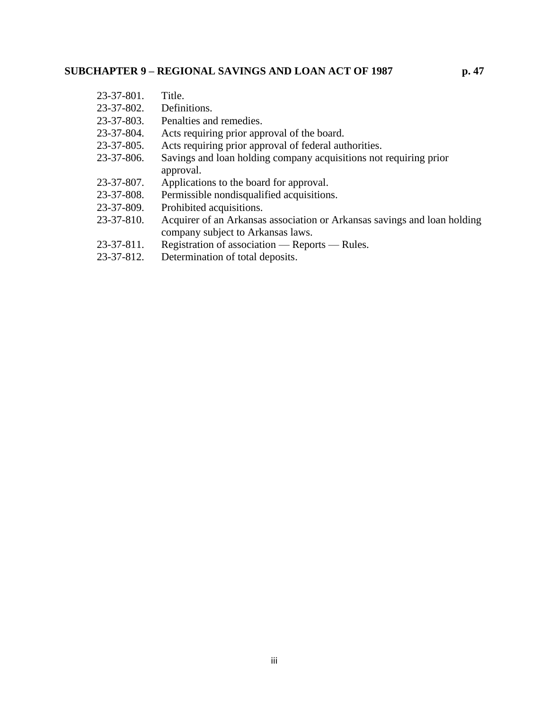| 23-37-801.        | Title.                                                                                                        |
|-------------------|---------------------------------------------------------------------------------------------------------------|
| $23 - 37 - 802$ . | Definitions.                                                                                                  |
| 23-37-803.        | Penalties and remedies.                                                                                       |
| 23-37-804.        | Acts requiring prior approval of the board.                                                                   |
| 23-37-805.        | Acts requiring prior approval of federal authorities.                                                         |
| 23-37-806.        | Savings and loan holding company acquisitions not requiring prior<br>approval.                                |
| 23-37-807.        | Applications to the board for approval.                                                                       |
| 23-37-808.        | Permissible nondisqualified acquisitions.                                                                     |
| 23-37-809.        | Prohibited acquisitions.                                                                                      |
| 23-37-810.        | Acquirer of an Arkansas association or Arkansas savings and loan holding<br>company subject to Arkansas laws. |
| 23-37-811.        | Registration of association — Reports — Rules.                                                                |
| 23-37-812.        | Determination of total deposits.                                                                              |
|                   |                                                                                                               |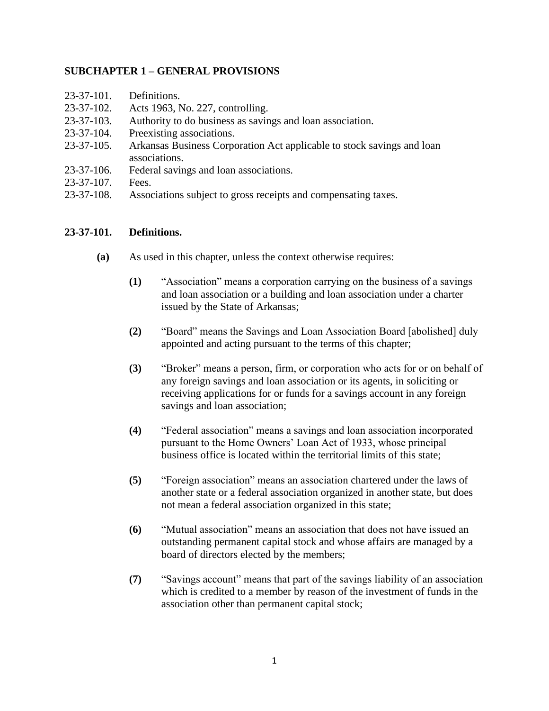# **SUBCHAPTER 1 – GENERAL PROVISIONS**

| $23 - 37 - 101$ . | Definitions.                                                           |
|-------------------|------------------------------------------------------------------------|
| $23 - 37 - 102$ . | Acts 1963, No. 227, controlling.                                       |
| $23 - 37 - 103$ . | Authority to do business as savings and loan association.              |
| $23 - 37 - 104$ . | Preexisting associations.                                              |
| $23 - 37 - 105$ . | Arkansas Business Corporation Act applicable to stock savings and loan |
|                   | associations.                                                          |
| $23 - 37 - 106$ . | Federal savings and loan associations.                                 |
| $23 - 37 - 107$ . | Fees.                                                                  |
| 23-37-108.        | Associations subject to gross receipts and compensating taxes.         |

# **23-37-101. Definitions.**

- **(a)** As used in this chapter, unless the context otherwise requires:
	- **(1)** "Association" means a corporation carrying on the business of a savings and loan association or a building and loan association under a charter issued by the State of Arkansas;
	- **(2)** "Board" means the Savings and Loan Association Board [abolished] duly appointed and acting pursuant to the terms of this chapter;
	- **(3)** "Broker" means a person, firm, or corporation who acts for or on behalf of any foreign savings and loan association or its agents, in soliciting or receiving applications for or funds for a savings account in any foreign savings and loan association;
	- **(4)** "Federal association" means a savings and loan association incorporated pursuant to the Home Owners' Loan Act of 1933, whose principal business office is located within the territorial limits of this state;
	- **(5)** "Foreign association" means an association chartered under the laws of another state or a federal association organized in another state, but does not mean a federal association organized in this state;
	- **(6)** "Mutual association" means an association that does not have issued an outstanding permanent capital stock and whose affairs are managed by a board of directors elected by the members;
	- **(7)** "Savings account" means that part of the savings liability of an association which is credited to a member by reason of the investment of funds in the association other than permanent capital stock;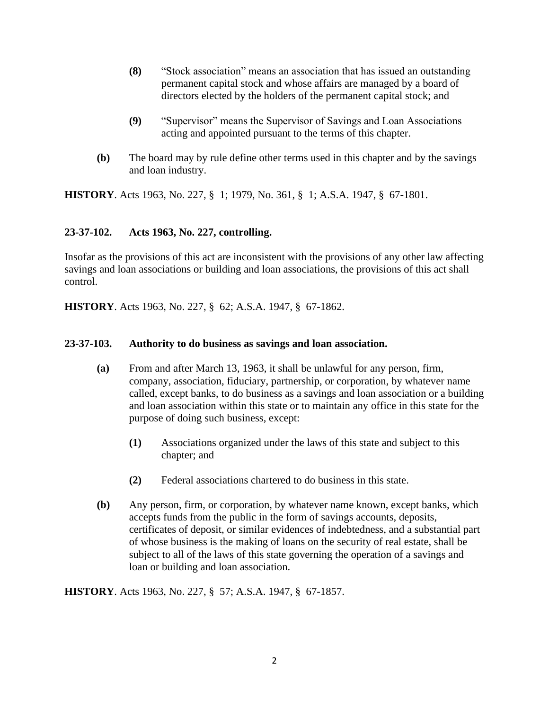- **(8)** "Stock association" means an association that has issued an outstanding permanent capital stock and whose affairs are managed by a board of directors elected by the holders of the permanent capital stock; and
- **(9)** "Supervisor" means the Supervisor of Savings and Loan Associations acting and appointed pursuant to the terms of this chapter.
- **(b)** The board may by rule define other terms used in this chapter and by the savings and loan industry.

**HISTORY**. Acts 1963, No. 227, § 1; 1979, No. 361, § 1; A.S.A. 1947, § 67-1801.

# **23-37-102. Acts 1963, No. 227, controlling.**

Insofar as the provisions of this act are inconsistent with the provisions of any other law affecting savings and loan associations or building and loan associations, the provisions of this act shall control.

**HISTORY**. Acts 1963, No. 227, § 62; A.S.A. 1947, § 67-1862.

#### **23-37-103. Authority to do business as savings and loan association.**

- **(a)** From and after March 13, 1963, it shall be unlawful for any person, firm, company, association, fiduciary, partnership, or corporation, by whatever name called, except banks, to do business as a savings and loan association or a building and loan association within this state or to maintain any office in this state for the purpose of doing such business, except:
	- **(1)** Associations organized under the laws of this state and subject to this chapter; and
	- **(2)** Federal associations chartered to do business in this state.
- **(b)** Any person, firm, or corporation, by whatever name known, except banks, which accepts funds from the public in the form of savings accounts, deposits, certificates of deposit, or similar evidences of indebtedness, and a substantial part of whose business is the making of loans on the security of real estate, shall be subject to all of the laws of this state governing the operation of a savings and loan or building and loan association.

**HISTORY**. Acts 1963, No. 227, § 57; A.S.A. 1947, § 67-1857.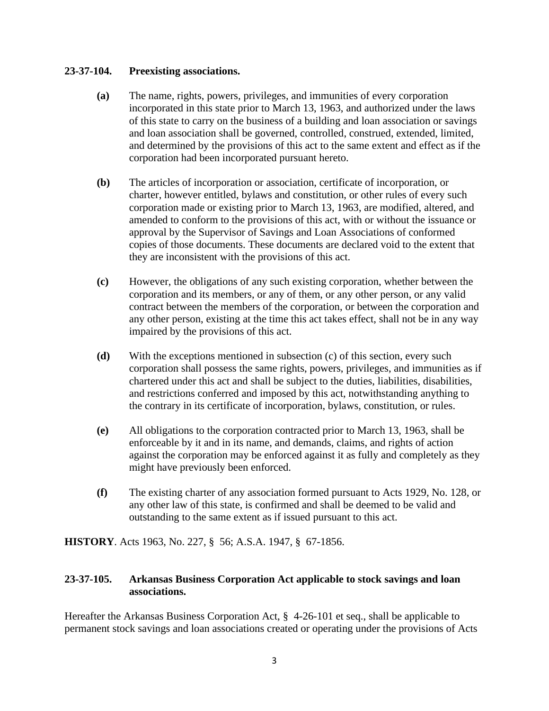# **23-37-104. Preexisting associations.**

- **(a)** The name, rights, powers, privileges, and immunities of every corporation incorporated in this state prior to March 13, 1963, and authorized under the laws of this state to carry on the business of a building and loan association or savings and loan association shall be governed, controlled, construed, extended, limited, and determined by the provisions of this act to the same extent and effect as if the corporation had been incorporated pursuant hereto.
- **(b)** The articles of incorporation or association, certificate of incorporation, or charter, however entitled, bylaws and constitution, or other rules of every such corporation made or existing prior to March 13, 1963, are modified, altered, and amended to conform to the provisions of this act, with or without the issuance or approval by the Supervisor of Savings and Loan Associations of conformed copies of those documents. These documents are declared void to the extent that they are inconsistent with the provisions of this act.
- **(c)** However, the obligations of any such existing corporation, whether between the corporation and its members, or any of them, or any other person, or any valid contract between the members of the corporation, or between the corporation and any other person, existing at the time this act takes effect, shall not be in any way impaired by the provisions of this act.
- **(d)** With the exceptions mentioned in subsection (c) of this section, every such corporation shall possess the same rights, powers, privileges, and immunities as if chartered under this act and shall be subject to the duties, liabilities, disabilities, and restrictions conferred and imposed by this act, notwithstanding anything to the contrary in its certificate of incorporation, bylaws, constitution, or rules.
- **(e)** All obligations to the corporation contracted prior to March 13, 1963, shall be enforceable by it and in its name, and demands, claims, and rights of action against the corporation may be enforced against it as fully and completely as they might have previously been enforced.
- **(f)** The existing charter of any association formed pursuant to Acts 1929, No. 128, or any other law of this state, is confirmed and shall be deemed to be valid and outstanding to the same extent as if issued pursuant to this act.

**HISTORY**. Acts 1963, No. 227, § 56; A.S.A. 1947, § 67-1856.

# **23-37-105. Arkansas Business Corporation Act applicable to stock savings and loan associations.**

Hereafter the Arkansas Business Corporation Act, § 4-26-101 et seq., shall be applicable to permanent stock savings and loan associations created or operating under the provisions of Acts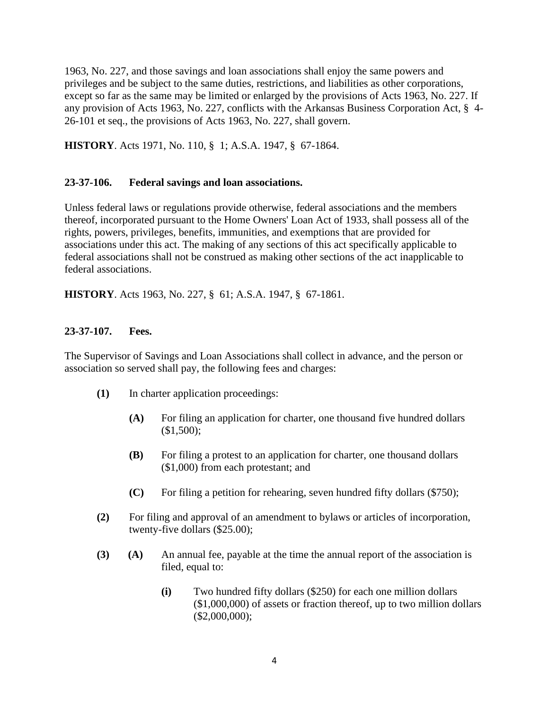1963, No. 227, and those savings and loan associations shall enjoy the same powers and privileges and be subject to the same duties, restrictions, and liabilities as other corporations, except so far as the same may be limited or enlarged by the provisions of Acts 1963, No. 227. If any provision of Acts 1963, No. 227, conflicts with the Arkansas Business Corporation Act, § 4- 26-101 et seq., the provisions of Acts 1963, No. 227, shall govern.

**HISTORY**. Acts 1971, No. 110, § 1; A.S.A. 1947, § 67-1864.

# **23-37-106. Federal savings and loan associations.**

Unless federal laws or regulations provide otherwise, federal associations and the members thereof, incorporated pursuant to the Home Owners' Loan Act of 1933, shall possess all of the rights, powers, privileges, benefits, immunities, and exemptions that are provided for associations under this act. The making of any sections of this act specifically applicable to federal associations shall not be construed as making other sections of the act inapplicable to federal associations.

**HISTORY**. Acts 1963, No. 227, § 61; A.S.A. 1947, § 67-1861.

# **23-37-107. Fees.**

The Supervisor of Savings and Loan Associations shall collect in advance, and the person or association so served shall pay, the following fees and charges:

- **(1)** In charter application proceedings:
	- **(A)** For filing an application for charter, one thousand five hundred dollars (\$1,500);
	- **(B)** For filing a protest to an application for charter, one thousand dollars (\$1,000) from each protestant; and
	- **(C)** For filing a petition for rehearing, seven hundred fifty dollars (\$750);
- **(2)** For filing and approval of an amendment to bylaws or articles of incorporation, twenty-five dollars (\$25.00);
- **(3) (A)** An annual fee, payable at the time the annual report of the association is filed, equal to:
	- **(i)** Two hundred fifty dollars (\$250) for each one million dollars (\$1,000,000) of assets or fraction thereof, up to two million dollars (\$2,000,000);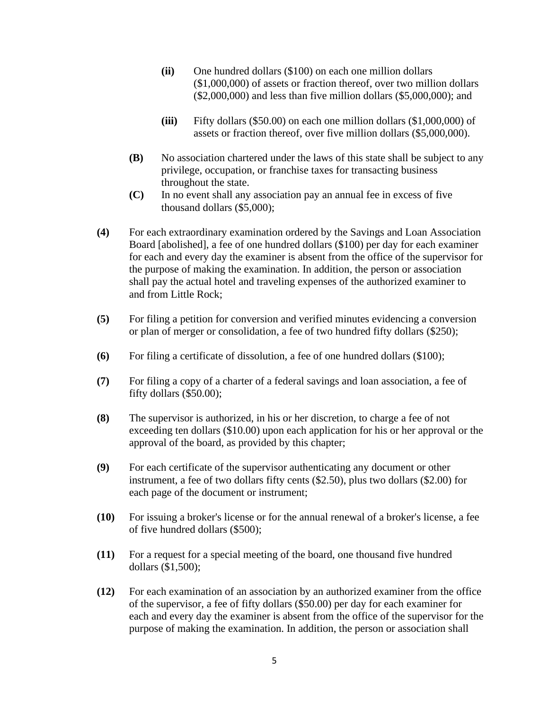- **(ii)** One hundred dollars (\$100) on each one million dollars (\$1,000,000) of assets or fraction thereof, over two million dollars (\$2,000,000) and less than five million dollars (\$5,000,000); and
- **(iii)** Fifty dollars (\$50.00) on each one million dollars (\$1,000,000) of assets or fraction thereof, over five million dollars (\$5,000,000).
- **(B)** No association chartered under the laws of this state shall be subject to any privilege, occupation, or franchise taxes for transacting business throughout the state.
- **(C)** In no event shall any association pay an annual fee in excess of five thousand dollars (\$5,000);
- **(4)** For each extraordinary examination ordered by the Savings and Loan Association Board [abolished], a fee of one hundred dollars (\$100) per day for each examiner for each and every day the examiner is absent from the office of the supervisor for the purpose of making the examination. In addition, the person or association shall pay the actual hotel and traveling expenses of the authorized examiner to and from Little Rock;
- **(5)** For filing a petition for conversion and verified minutes evidencing a conversion or plan of merger or consolidation, a fee of two hundred fifty dollars (\$250);
- **(6)** For filing a certificate of dissolution, a fee of one hundred dollars (\$100);
- **(7)** For filing a copy of a charter of a federal savings and loan association, a fee of fifty dollars (\$50.00);
- **(8)** The supervisor is authorized, in his or her discretion, to charge a fee of not exceeding ten dollars (\$10.00) upon each application for his or her approval or the approval of the board, as provided by this chapter;
- **(9)** For each certificate of the supervisor authenticating any document or other instrument, a fee of two dollars fifty cents (\$2.50), plus two dollars (\$2.00) for each page of the document or instrument;
- **(10)** For issuing a broker's license or for the annual renewal of a broker's license, a fee of five hundred dollars (\$500);
- **(11)** For a request for a special meeting of the board, one thousand five hundred dollars (\$1,500);
- **(12)** For each examination of an association by an authorized examiner from the office of the supervisor, a fee of fifty dollars (\$50.00) per day for each examiner for each and every day the examiner is absent from the office of the supervisor for the purpose of making the examination. In addition, the person or association shall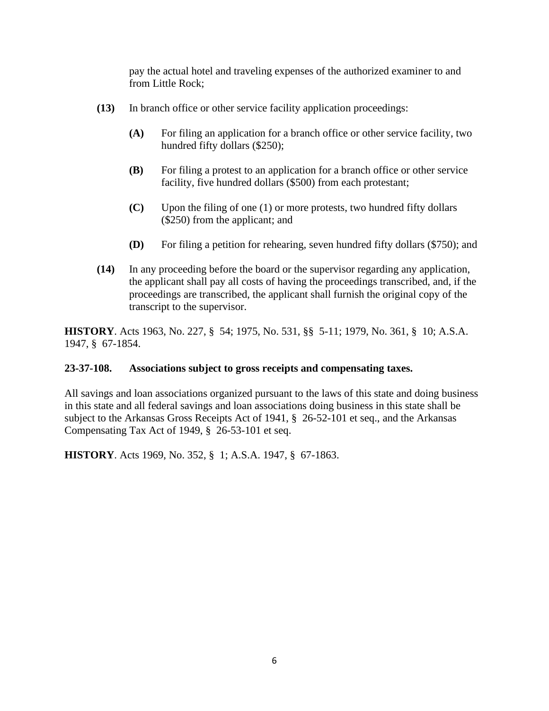pay the actual hotel and traveling expenses of the authorized examiner to and from Little Rock;

- **(13)** In branch office or other service facility application proceedings:
	- **(A)** For filing an application for a branch office or other service facility, two hundred fifty dollars (\$250);
	- **(B)** For filing a protest to an application for a branch office or other service facility, five hundred dollars (\$500) from each protestant;
	- **(C)** Upon the filing of one (1) or more protests, two hundred fifty dollars (\$250) from the applicant; and
	- **(D)** For filing a petition for rehearing, seven hundred fifty dollars (\$750); and
- **(14)** In any proceeding before the board or the supervisor regarding any application, the applicant shall pay all costs of having the proceedings transcribed, and, if the proceedings are transcribed, the applicant shall furnish the original copy of the transcript to the supervisor.

**HISTORY**. Acts 1963, No. 227, § 54; 1975, No. 531, §§ 5-11; 1979, No. 361, § 10; A.S.A. 1947, § 67-1854.

#### **23-37-108. Associations subject to gross receipts and compensating taxes.**

All savings and loan associations organized pursuant to the laws of this state and doing business in this state and all federal savings and loan associations doing business in this state shall be subject to the Arkansas Gross Receipts Act of 1941, § 26-52-101 et seq., and the Arkansas Compensating Tax Act of 1949, § 26-53-101 et seq.

**HISTORY**. Acts 1969, No. 352, § 1; A.S.A. 1947, § 67-1863.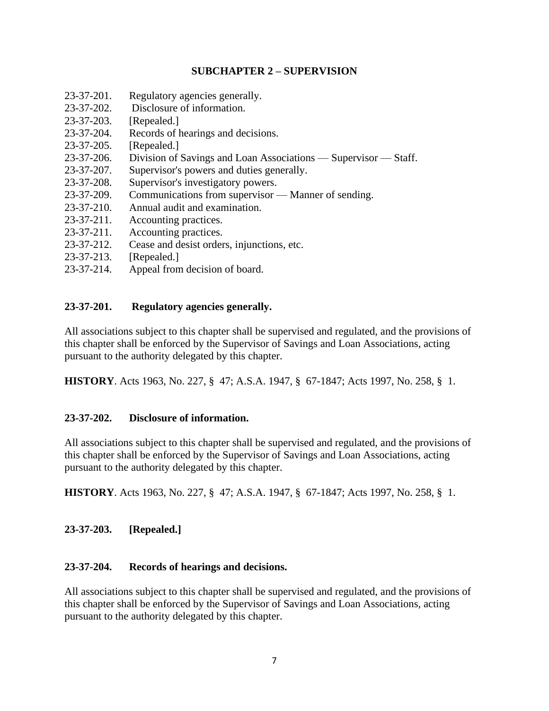# **SUBCHAPTER 2 – SUPERVISION**

- 23-37-201. Regulatory agencies generally.
- 23-37-202. Disclosure of information.
- 23-37-203. [Repealed.]
- 23-37-204. Records of hearings and decisions.
- 23-37-205. [Repealed.]
- 23-37-206. Division of Savings and Loan Associations Supervisor Staff.
- 23-37-207. Supervisor's powers and duties generally.
- 23-37-208. Supervisor's investigatory powers.
- 23-37-209. Communications from supervisor Manner of sending.
- 23-37-210. Annual audit and examination.
- 23-37-211. Accounting practices.
- 23-37-211. Accounting practices.
- 23-37-212. Cease and desist orders, injunctions, etc.
- 23-37-213. [Repealed.]
- 23-37-214. Appeal from decision of board.

#### **23-37-201. Regulatory agencies generally.**

All associations subject to this chapter shall be supervised and regulated, and the provisions of this chapter shall be enforced by the Supervisor of Savings and Loan Associations, acting pursuant to the authority delegated by this chapter.

**HISTORY**. Acts 1963, No. 227, § 47; A.S.A. 1947, § 67-1847; Acts 1997, No. 258, § 1.

#### **23-37-202. Disclosure of information.**

All associations subject to this chapter shall be supervised and regulated, and the provisions of this chapter shall be enforced by the Supervisor of Savings and Loan Associations, acting pursuant to the authority delegated by this chapter.

**HISTORY**. Acts 1963, No. 227, § 47; A.S.A. 1947, § 67-1847; Acts 1997, No. 258, § 1.

# **23-37-203. [Repealed.]**

#### **23-37-204. Records of hearings and decisions.**

All associations subject to this chapter shall be supervised and regulated, and the provisions of this chapter shall be enforced by the Supervisor of Savings and Loan Associations, acting pursuant to the authority delegated by this chapter.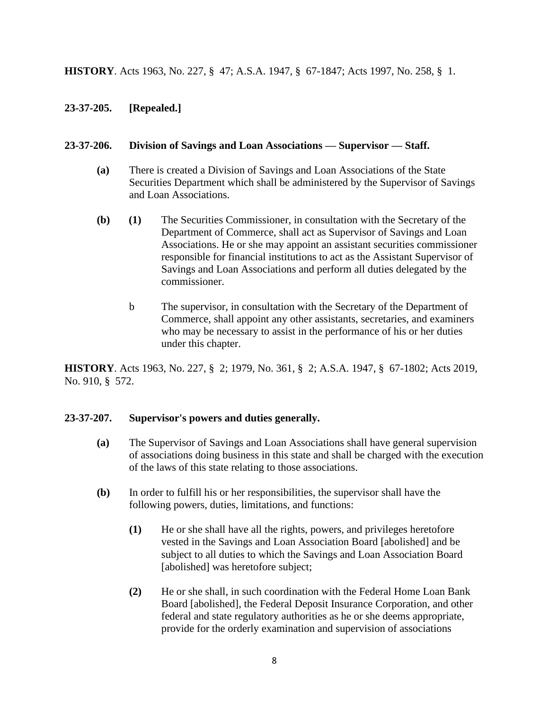**HISTORY**. Acts 1963, No. 227, § 47; A.S.A. 1947, § 67-1847; Acts 1997, No. 258, § 1.

# **23-37-205. [Repealed.]**

# **23-37-206. Division of Savings and Loan Associations — Supervisor — Staff.**

- **(a)** There is created a Division of Savings and Loan Associations of the State Securities Department which shall be administered by the Supervisor of Savings and Loan Associations.
- **(b) (1)** The Securities Commissioner, in consultation with the Secretary of the Department of Commerce, shall act as Supervisor of Savings and Loan Associations. He or she may appoint an assistant securities commissioner responsible for financial institutions to act as the Assistant Supervisor of Savings and Loan Associations and perform all duties delegated by the commissioner.
	- b The supervisor, in consultation with the Secretary of the Department of Commerce, shall appoint any other assistants, secretaries, and examiners who may be necessary to assist in the performance of his or her duties under this chapter.

**HISTORY**. Acts 1963, No. 227, § 2; 1979, No. 361, § 2; A.S.A. 1947, § 67-1802; Acts 2019, No. 910, § 572.

#### **23-37-207. Supervisor's powers and duties generally.**

- **(a)** The Supervisor of Savings and Loan Associations shall have general supervision of associations doing business in this state and shall be charged with the execution of the laws of this state relating to those associations.
- **(b)** In order to fulfill his or her responsibilities, the supervisor shall have the following powers, duties, limitations, and functions:
	- **(1)** He or she shall have all the rights, powers, and privileges heretofore vested in the Savings and Loan Association Board [abolished] and be subject to all duties to which the Savings and Loan Association Board [abolished] was heretofore subject;
	- **(2)** He or she shall, in such coordination with the Federal Home Loan Bank Board [abolished], the Federal Deposit Insurance Corporation, and other federal and state regulatory authorities as he or she deems appropriate, provide for the orderly examination and supervision of associations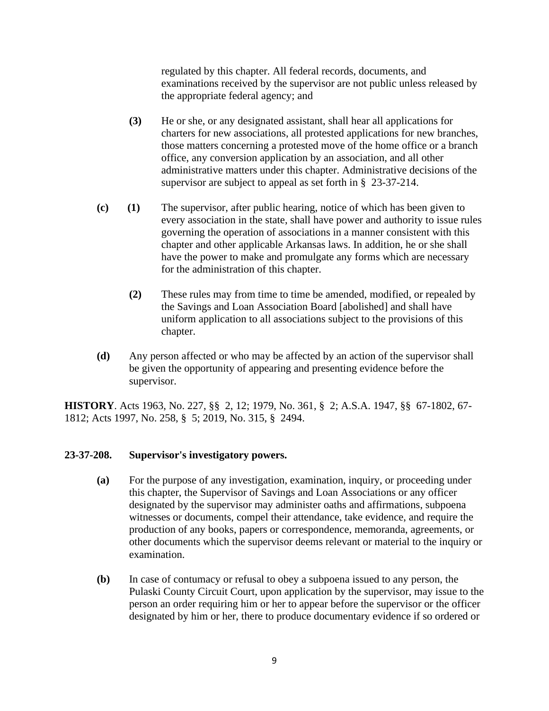regulated by this chapter. All federal records, documents, and examinations received by the supervisor are not public unless released by the appropriate federal agency; and

- **(3)** He or she, or any designated assistant, shall hear all applications for charters for new associations, all protested applications for new branches, those matters concerning a protested move of the home office or a branch office, any conversion application by an association, and all other administrative matters under this chapter. Administrative decisions of the supervisor are subject to appeal as set forth in § 23-37-214.
- **(c) (1)** The supervisor, after public hearing, notice of which has been given to every association in the state, shall have power and authority to issue rules governing the operation of associations in a manner consistent with this chapter and other applicable Arkansas laws. In addition, he or she shall have the power to make and promulgate any forms which are necessary for the administration of this chapter.
	- **(2)** These rules may from time to time be amended, modified, or repealed by the Savings and Loan Association Board [abolished] and shall have uniform application to all associations subject to the provisions of this chapter.
- **(d)** Any person affected or who may be affected by an action of the supervisor shall be given the opportunity of appearing and presenting evidence before the supervisor.

**HISTORY**. Acts 1963, No. 227, §§ 2, 12; 1979, No. 361, § 2; A.S.A. 1947, §§ 67-1802, 67- 1812; Acts 1997, No. 258, § 5; 2019, No. 315, § 2494.

#### **23-37-208. Supervisor's investigatory powers.**

- **(a)** For the purpose of any investigation, examination, inquiry, or proceeding under this chapter, the Supervisor of Savings and Loan Associations or any officer designated by the supervisor may administer oaths and affirmations, subpoena witnesses or documents, compel their attendance, take evidence, and require the production of any books, papers or correspondence, memoranda, agreements, or other documents which the supervisor deems relevant or material to the inquiry or examination.
- **(b)** In case of contumacy or refusal to obey a subpoena issued to any person, the Pulaski County Circuit Court, upon application by the supervisor, may issue to the person an order requiring him or her to appear before the supervisor or the officer designated by him or her, there to produce documentary evidence if so ordered or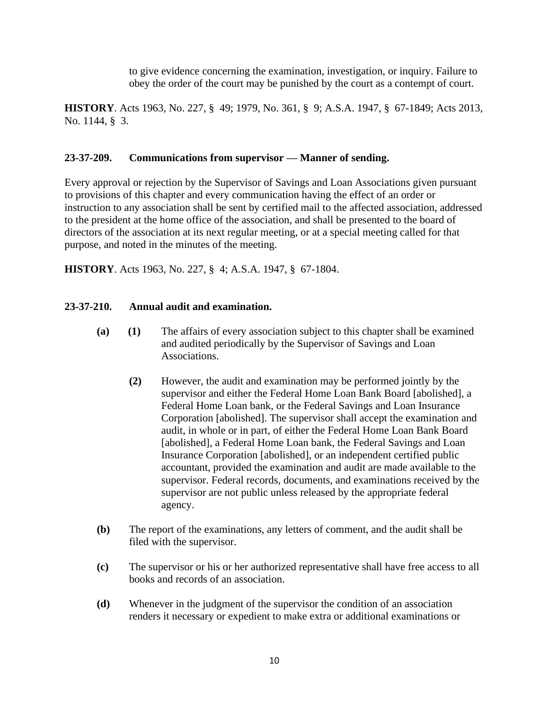to give evidence concerning the examination, investigation, or inquiry. Failure to obey the order of the court may be punished by the court as a contempt of court.

**HISTORY**. Acts 1963, No. 227, § 49; 1979, No. 361, § 9; A.S.A. 1947, § 67-1849; Acts 2013, No. 1144, § 3.

#### **23-37-209. Communications from supervisor — Manner of sending.**

Every approval or rejection by the Supervisor of Savings and Loan Associations given pursuant to provisions of this chapter and every communication having the effect of an order or instruction to any association shall be sent by certified mail to the affected association, addressed to the president at the home office of the association, and shall be presented to the board of directors of the association at its next regular meeting, or at a special meeting called for that purpose, and noted in the minutes of the meeting.

**HISTORY**. Acts 1963, No. 227, § 4; A.S.A. 1947, § 67-1804.

#### **23-37-210. Annual audit and examination.**

- **(a) (1)** The affairs of every association subject to this chapter shall be examined and audited periodically by the Supervisor of Savings and Loan Associations.
	- **(2)** However, the audit and examination may be performed jointly by the supervisor and either the Federal Home Loan Bank Board [abolished], a Federal Home Loan bank, or the Federal Savings and Loan Insurance Corporation [abolished]. The supervisor shall accept the examination and audit, in whole or in part, of either the Federal Home Loan Bank Board [abolished], a Federal Home Loan bank, the Federal Savings and Loan Insurance Corporation [abolished], or an independent certified public accountant, provided the examination and audit are made available to the supervisor. Federal records, documents, and examinations received by the supervisor are not public unless released by the appropriate federal agency.
- **(b)** The report of the examinations, any letters of comment, and the audit shall be filed with the supervisor.
- **(c)** The supervisor or his or her authorized representative shall have free access to all books and records of an association.
- **(d)** Whenever in the judgment of the supervisor the condition of an association renders it necessary or expedient to make extra or additional examinations or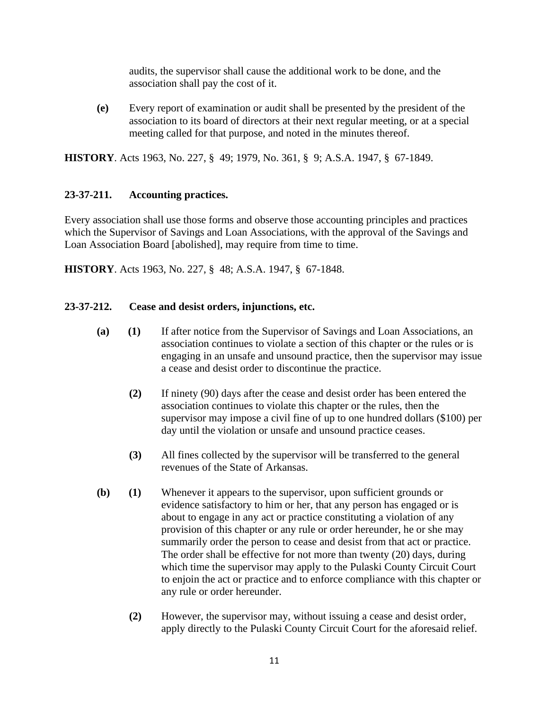audits, the supervisor shall cause the additional work to be done, and the association shall pay the cost of it.

**(e)** Every report of examination or audit shall be presented by the president of the association to its board of directors at their next regular meeting, or at a special meeting called for that purpose, and noted in the minutes thereof.

**HISTORY**. Acts 1963, No. 227, § 49; 1979, No. 361, § 9; A.S.A. 1947, § 67-1849.

# **23-37-211. Accounting practices.**

Every association shall use those forms and observe those accounting principles and practices which the Supervisor of Savings and Loan Associations, with the approval of the Savings and Loan Association Board [abolished], may require from time to time.

**HISTORY**. Acts 1963, No. 227, § 48; A.S.A. 1947, § 67-1848.

# **23-37-212. Cease and desist orders, injunctions, etc.**

- **(a) (1)** If after notice from the Supervisor of Savings and Loan Associations, an association continues to violate a section of this chapter or the rules or is engaging in an unsafe and unsound practice, then the supervisor may issue a cease and desist order to discontinue the practice.
	- **(2)** If ninety (90) days after the cease and desist order has been entered the association continues to violate this chapter or the rules, then the supervisor may impose a civil fine of up to one hundred dollars (\$100) per day until the violation or unsafe and unsound practice ceases.
	- **(3)** All fines collected by the supervisor will be transferred to the general revenues of the State of Arkansas.
- **(b) (1)** Whenever it appears to the supervisor, upon sufficient grounds or evidence satisfactory to him or her, that any person has engaged or is about to engage in any act or practice constituting a violation of any provision of this chapter or any rule or order hereunder, he or she may summarily order the person to cease and desist from that act or practice. The order shall be effective for not more than twenty (20) days, during which time the supervisor may apply to the Pulaski County Circuit Court to enjoin the act or practice and to enforce compliance with this chapter or any rule or order hereunder.
	- **(2)** However, the supervisor may, without issuing a cease and desist order, apply directly to the Pulaski County Circuit Court for the aforesaid relief.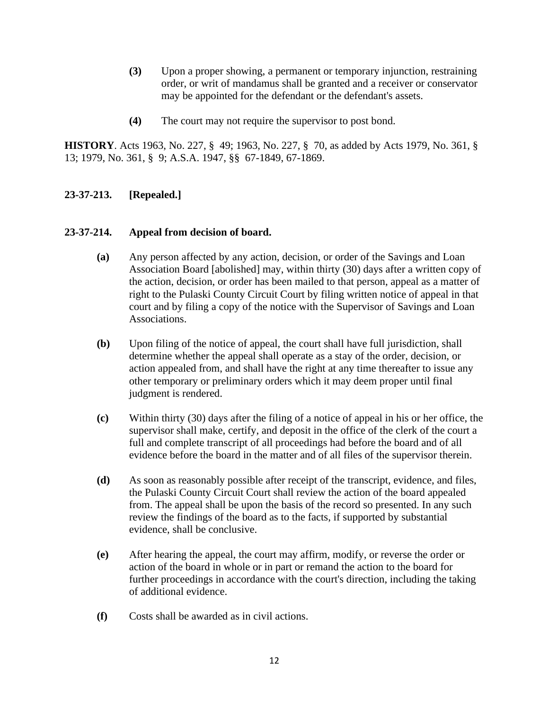- **(3)** Upon a proper showing, a permanent or temporary injunction, restraining order, or writ of mandamus shall be granted and a receiver or conservator may be appointed for the defendant or the defendant's assets.
- **(4)** The court may not require the supervisor to post bond.

**HISTORY**. Acts 1963, No. 227, § 49; 1963, No. 227, § 70, as added by Acts 1979, No. 361, § 13; 1979, No. 361, § 9; A.S.A. 1947, §§ 67-1849, 67-1869.

# **23-37-213. [Repealed.]**

#### **23-37-214. Appeal from decision of board.**

- **(a)** Any person affected by any action, decision, or order of the Savings and Loan Association Board [abolished] may, within thirty (30) days after a written copy of the action, decision, or order has been mailed to that person, appeal as a matter of right to the Pulaski County Circuit Court by filing written notice of appeal in that court and by filing a copy of the notice with the Supervisor of Savings and Loan Associations.
- **(b)** Upon filing of the notice of appeal, the court shall have full jurisdiction, shall determine whether the appeal shall operate as a stay of the order, decision, or action appealed from, and shall have the right at any time thereafter to issue any other temporary or preliminary orders which it may deem proper until final judgment is rendered.
- **(c)** Within thirty (30) days after the filing of a notice of appeal in his or her office, the supervisor shall make, certify, and deposit in the office of the clerk of the court a full and complete transcript of all proceedings had before the board and of all evidence before the board in the matter and of all files of the supervisor therein.
- **(d)** As soon as reasonably possible after receipt of the transcript, evidence, and files, the Pulaski County Circuit Court shall review the action of the board appealed from. The appeal shall be upon the basis of the record so presented. In any such review the findings of the board as to the facts, if supported by substantial evidence, shall be conclusive.
- **(e)** After hearing the appeal, the court may affirm, modify, or reverse the order or action of the board in whole or in part or remand the action to the board for further proceedings in accordance with the court's direction, including the taking of additional evidence.
- **(f)** Costs shall be awarded as in civil actions.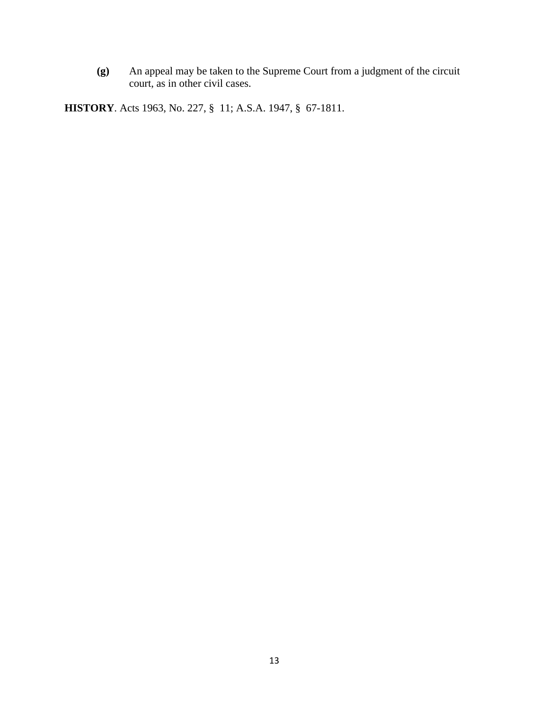**(g)** An appeal may be taken to the Supreme Court from a judgment of the circuit court, as in other civil cases.

**HISTORY**. Acts 1963, No. 227, § 11; A.S.A. 1947, § 67-1811.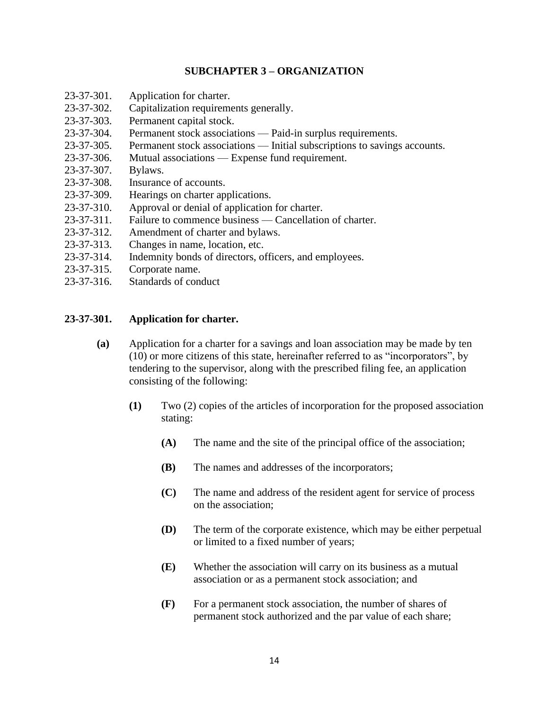# **SUBCHAPTER 3 – ORGANIZATION**

- 23-37-301. Application for charter.
- 23-37-302. Capitalization requirements generally.
- 23-37-303. Permanent capital stock.
- 23-37-304. Permanent stock associations Paid-in surplus requirements.
- 23-37-305. Permanent stock associations Initial subscriptions to savings accounts.
- 23-37-306. Mutual associations Expense fund requirement.
- 23-37-307. Bylaws.
- 23-37-308. Insurance of accounts.
- 23-37-309. Hearings on charter applications.
- 23-37-310. Approval or denial of application for charter.
- 23-37-311. Failure to commence business Cancellation of charter.
- 23-37-312. Amendment of charter and bylaws.
- 23-37-313. Changes in name, location, etc.
- 23-37-314. Indemnity bonds of directors, officers, and employees.
- 23-37-315. Corporate name.
- 23-37-316. Standards of conduct

#### **23-37-301. Application for charter.**

- **(a)** Application for a charter for a savings and loan association may be made by ten (10) or more citizens of this state, hereinafter referred to as "incorporators", by tendering to the supervisor, along with the prescribed filing fee, an application consisting of the following:
	- **(1)** Two (2) copies of the articles of incorporation for the proposed association stating:
		- **(A)** The name and the site of the principal office of the association;
		- **(B)** The names and addresses of the incorporators;
		- **(C)** The name and address of the resident agent for service of process on the association;
		- **(D)** The term of the corporate existence, which may be either perpetual or limited to a fixed number of years;
		- **(E)** Whether the association will carry on its business as a mutual association or as a permanent stock association; and
		- **(F)** For a permanent stock association, the number of shares of permanent stock authorized and the par value of each share;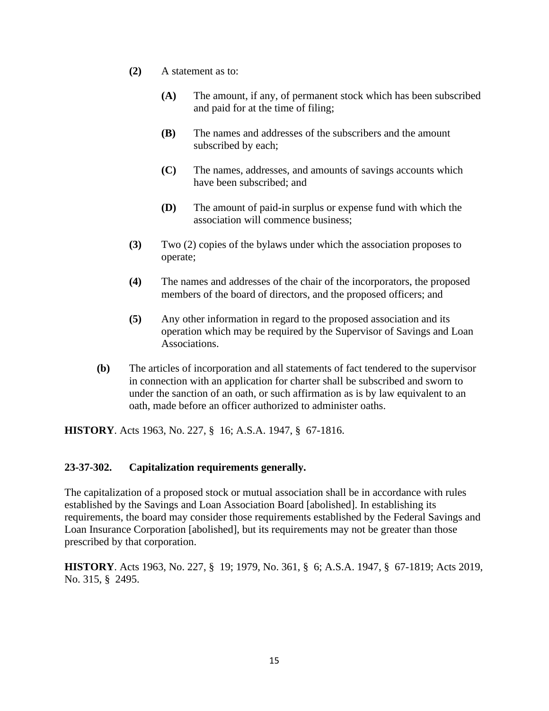- **(2)** A statement as to:
	- **(A)** The amount, if any, of permanent stock which has been subscribed and paid for at the time of filing;
	- **(B)** The names and addresses of the subscribers and the amount subscribed by each;
	- **(C)** The names, addresses, and amounts of savings accounts which have been subscribed; and
	- **(D)** The amount of paid-in surplus or expense fund with which the association will commence business;
- **(3)** Two (2) copies of the bylaws under which the association proposes to operate;
- **(4)** The names and addresses of the chair of the incorporators, the proposed members of the board of directors, and the proposed officers; and
- **(5)** Any other information in regard to the proposed association and its operation which may be required by the Supervisor of Savings and Loan Associations.
- **(b)** The articles of incorporation and all statements of fact tendered to the supervisor in connection with an application for charter shall be subscribed and sworn to under the sanction of an oath, or such affirmation as is by law equivalent to an oath, made before an officer authorized to administer oaths.

**HISTORY**. Acts 1963, No. 227, § 16; A.S.A. 1947, § 67-1816.

#### **23-37-302. Capitalization requirements generally.**

The capitalization of a proposed stock or mutual association shall be in accordance with rules established by the Savings and Loan Association Board [abolished]. In establishing its requirements, the board may consider those requirements established by the Federal Savings and Loan Insurance Corporation [abolished], but its requirements may not be greater than those prescribed by that corporation.

**HISTORY**. Acts 1963, No. 227, § 19; 1979, No. 361, § 6; A.S.A. 1947, § 67-1819; Acts 2019, No. 315, § 2495.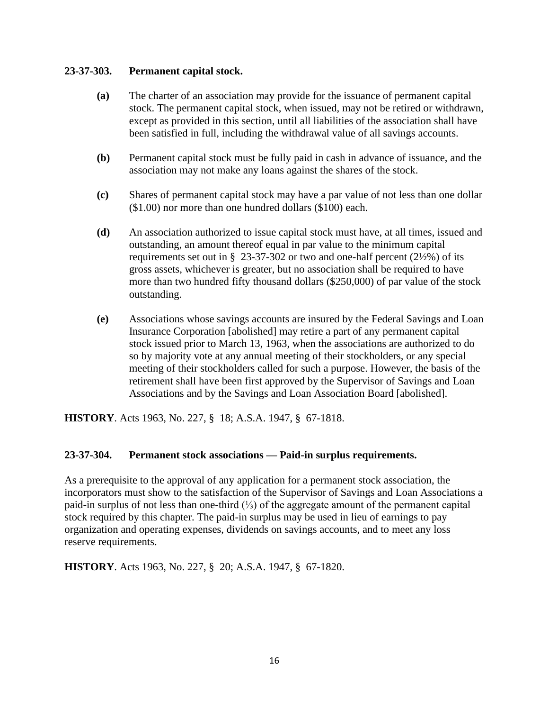# **23-37-303. Permanent capital stock.**

- **(a)** The charter of an association may provide for the issuance of permanent capital stock. The permanent capital stock, when issued, may not be retired or withdrawn, except as provided in this section, until all liabilities of the association shall have been satisfied in full, including the withdrawal value of all savings accounts.
- **(b)** Permanent capital stock must be fully paid in cash in advance of issuance, and the association may not make any loans against the shares of the stock.
- **(c)** Shares of permanent capital stock may have a par value of not less than one dollar (\$1.00) nor more than one hundred dollars (\$100) each.
- **(d)** An association authorized to issue capital stock must have, at all times, issued and outstanding, an amount thereof equal in par value to the minimum capital requirements set out in § 23-37-302 or two and one-half percent  $(2\frac{1}{2}\%)$  of its gross assets, whichever is greater, but no association shall be required to have more than two hundred fifty thousand dollars (\$250,000) of par value of the stock outstanding.
- **(e)** Associations whose savings accounts are insured by the Federal Savings and Loan Insurance Corporation [abolished] may retire a part of any permanent capital stock issued prior to March 13, 1963, when the associations are authorized to do so by majority vote at any annual meeting of their stockholders, or any special meeting of their stockholders called for such a purpose. However, the basis of the retirement shall have been first approved by the Supervisor of Savings and Loan Associations and by the Savings and Loan Association Board [abolished].

**HISTORY**. Acts 1963, No. 227, § 18; A.S.A. 1947, § 67-1818.

#### **23-37-304. Permanent stock associations — Paid-in surplus requirements.**

As a prerequisite to the approval of any application for a permanent stock association, the incorporators must show to the satisfaction of the Supervisor of Savings and Loan Associations a paid-in surplus of not less than one-third (⅓) of the aggregate amount of the permanent capital stock required by this chapter. The paid-in surplus may be used in lieu of earnings to pay organization and operating expenses, dividends on savings accounts, and to meet any loss reserve requirements.

**HISTORY**. Acts 1963, No. 227, § 20; A.S.A. 1947, § 67-1820.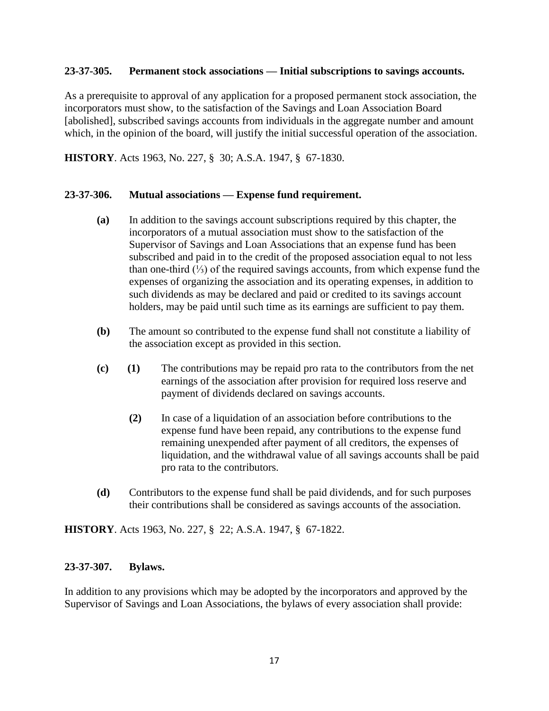#### **23-37-305. Permanent stock associations — Initial subscriptions to savings accounts.**

As a prerequisite to approval of any application for a proposed permanent stock association, the incorporators must show, to the satisfaction of the Savings and Loan Association Board [abolished], subscribed savings accounts from individuals in the aggregate number and amount which, in the opinion of the board, will justify the initial successful operation of the association.

**HISTORY**. Acts 1963, No. 227, § 30; A.S.A. 1947, § 67-1830.

#### **23-37-306. Mutual associations — Expense fund requirement.**

- **(a)** In addition to the savings account subscriptions required by this chapter, the incorporators of a mutual association must show to the satisfaction of the Supervisor of Savings and Loan Associations that an expense fund has been subscribed and paid in to the credit of the proposed association equal to not less than one-third (⅓) of the required savings accounts, from which expense fund the expenses of organizing the association and its operating expenses, in addition to such dividends as may be declared and paid or credited to its savings account holders, may be paid until such time as its earnings are sufficient to pay them.
- **(b)** The amount so contributed to the expense fund shall not constitute a liability of the association except as provided in this section.
- **(c) (1)** The contributions may be repaid pro rata to the contributors from the net earnings of the association after provision for required loss reserve and payment of dividends declared on savings accounts.
	- **(2)** In case of a liquidation of an association before contributions to the expense fund have been repaid, any contributions to the expense fund remaining unexpended after payment of all creditors, the expenses of liquidation, and the withdrawal value of all savings accounts shall be paid pro rata to the contributors.
- **(d)** Contributors to the expense fund shall be paid dividends, and for such purposes their contributions shall be considered as savings accounts of the association.

**HISTORY**. Acts 1963, No. 227, § 22; A.S.A. 1947, § 67-1822.

#### **23-37-307. Bylaws.**

In addition to any provisions which may be adopted by the incorporators and approved by the Supervisor of Savings and Loan Associations, the bylaws of every association shall provide: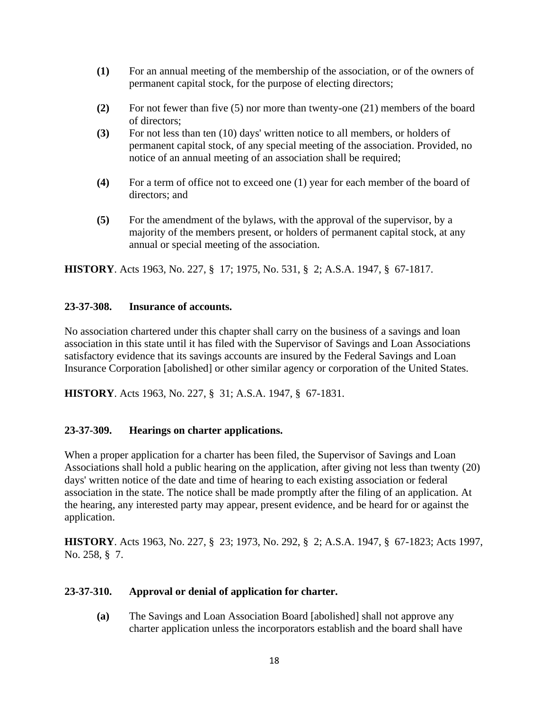- **(1)** For an annual meeting of the membership of the association, or of the owners of permanent capital stock, for the purpose of electing directors;
- **(2)** For not fewer than five (5) nor more than twenty-one (21) members of the board of directors;
- **(3)** For not less than ten (10) days' written notice to all members, or holders of permanent capital stock, of any special meeting of the association. Provided, no notice of an annual meeting of an association shall be required;
- **(4)** For a term of office not to exceed one (1) year for each member of the board of directors; and
- **(5)** For the amendment of the bylaws, with the approval of the supervisor, by a majority of the members present, or holders of permanent capital stock, at any annual or special meeting of the association.

**HISTORY**. Acts 1963, No. 227, § 17; 1975, No. 531, § 2; A.S.A. 1947, § 67-1817.

# **23-37-308. Insurance of accounts.**

No association chartered under this chapter shall carry on the business of a savings and loan association in this state until it has filed with the Supervisor of Savings and Loan Associations satisfactory evidence that its savings accounts are insured by the Federal Savings and Loan Insurance Corporation [abolished] or other similar agency or corporation of the United States.

**HISTORY**. Acts 1963, No. 227, § 31; A.S.A. 1947, § 67-1831.

# **23-37-309. Hearings on charter applications.**

When a proper application for a charter has been filed, the Supervisor of Savings and Loan Associations shall hold a public hearing on the application, after giving not less than twenty (20) days' written notice of the date and time of hearing to each existing association or federal association in the state. The notice shall be made promptly after the filing of an application. At the hearing, any interested party may appear, present evidence, and be heard for or against the application.

**HISTORY**. Acts 1963, No. 227, § 23; 1973, No. 292, § 2; A.S.A. 1947, § 67-1823; Acts 1997, No. 258, § 7.

#### **23-37-310. Approval or denial of application for charter.**

**(a)** The Savings and Loan Association Board [abolished] shall not approve any charter application unless the incorporators establish and the board shall have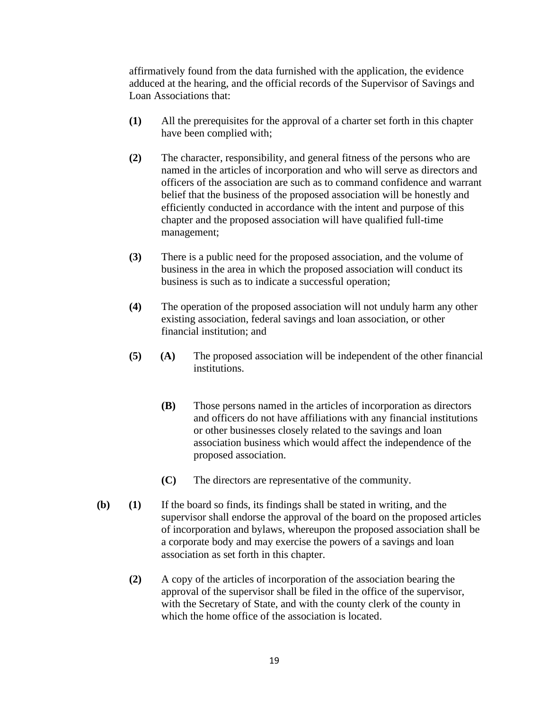affirmatively found from the data furnished with the application, the evidence adduced at the hearing, and the official records of the Supervisor of Savings and Loan Associations that:

- **(1)** All the prerequisites for the approval of a charter set forth in this chapter have been complied with;
- **(2)** The character, responsibility, and general fitness of the persons who are named in the articles of incorporation and who will serve as directors and officers of the association are such as to command confidence and warrant belief that the business of the proposed association will be honestly and efficiently conducted in accordance with the intent and purpose of this chapter and the proposed association will have qualified full-time management;
- **(3)** There is a public need for the proposed association, and the volume of business in the area in which the proposed association will conduct its business is such as to indicate a successful operation;
- **(4)** The operation of the proposed association will not unduly harm any other existing association, federal savings and loan association, or other financial institution; and
- **(5) (A)** The proposed association will be independent of the other financial institutions.
	- **(B)** Those persons named in the articles of incorporation as directors and officers do not have affiliations with any financial institutions or other businesses closely related to the savings and loan association business which would affect the independence of the proposed association.
	- **(C)** The directors are representative of the community.
- **(b) (1)** If the board so finds, its findings shall be stated in writing, and the supervisor shall endorse the approval of the board on the proposed articles of incorporation and bylaws, whereupon the proposed association shall be a corporate body and may exercise the powers of a savings and loan association as set forth in this chapter.
	- **(2)** A copy of the articles of incorporation of the association bearing the approval of the supervisor shall be filed in the office of the supervisor, with the Secretary of State, and with the county clerk of the county in which the home office of the association is located.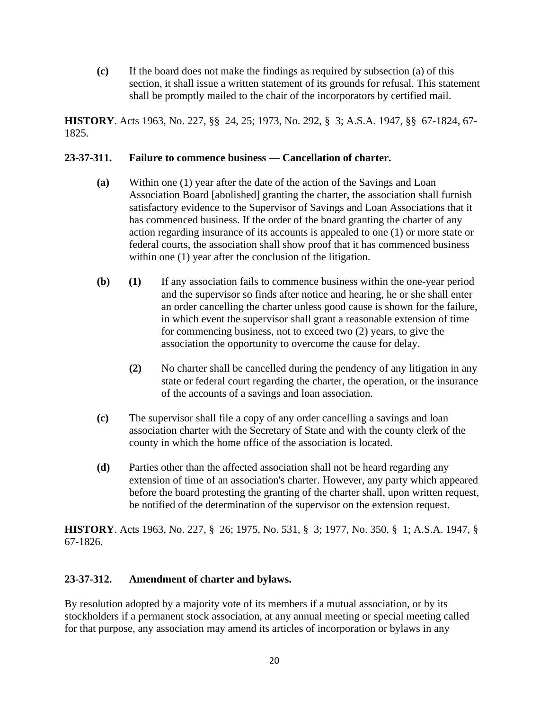**(c)** If the board does not make the findings as required by subsection (a) of this section, it shall issue a written statement of its grounds for refusal. This statement shall be promptly mailed to the chair of the incorporators by certified mail.

**HISTORY**. Acts 1963, No. 227, §§ 24, 25; 1973, No. 292, § 3; A.S.A. 1947, §§ 67-1824, 67- 1825.

# **23-37-311. Failure to commence business — Cancellation of charter.**

- **(a)** Within one (1) year after the date of the action of the Savings and Loan Association Board [abolished] granting the charter, the association shall furnish satisfactory evidence to the Supervisor of Savings and Loan Associations that it has commenced business. If the order of the board granting the charter of any action regarding insurance of its accounts is appealed to one (1) or more state or federal courts, the association shall show proof that it has commenced business within one (1) year after the conclusion of the litigation.
- **(b) (1)** If any association fails to commence business within the one-year period and the supervisor so finds after notice and hearing, he or she shall enter an order cancelling the charter unless good cause is shown for the failure, in which event the supervisor shall grant a reasonable extension of time for commencing business, not to exceed two (2) years, to give the association the opportunity to overcome the cause for delay.
	- **(2)** No charter shall be cancelled during the pendency of any litigation in any state or federal court regarding the charter, the operation, or the insurance of the accounts of a savings and loan association.
- **(c)** The supervisor shall file a copy of any order cancelling a savings and loan association charter with the Secretary of State and with the county clerk of the county in which the home office of the association is located.
- **(d)** Parties other than the affected association shall not be heard regarding any extension of time of an association's charter. However, any party which appeared before the board protesting the granting of the charter shall, upon written request, be notified of the determination of the supervisor on the extension request.

**HISTORY**. Acts 1963, No. 227, § 26; 1975, No. 531, § 3; 1977, No. 350, § 1; A.S.A. 1947, § 67-1826.

# **23-37-312. Amendment of charter and bylaws.**

By resolution adopted by a majority vote of its members if a mutual association, or by its stockholders if a permanent stock association, at any annual meeting or special meeting called for that purpose, any association may amend its articles of incorporation or bylaws in any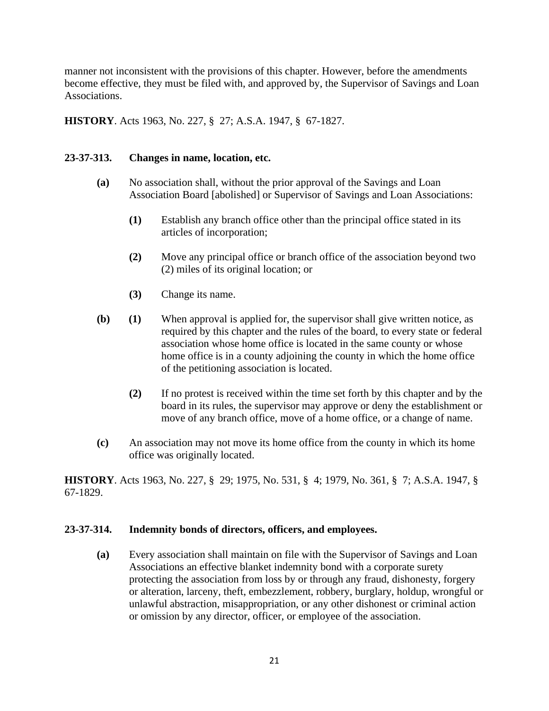manner not inconsistent with the provisions of this chapter. However, before the amendments become effective, they must be filed with, and approved by, the Supervisor of Savings and Loan Associations.

**HISTORY**. Acts 1963, No. 227, § 27; A.S.A. 1947, § 67-1827.

# **23-37-313. Changes in name, location, etc.**

- **(a)** No association shall, without the prior approval of the Savings and Loan Association Board [abolished] or Supervisor of Savings and Loan Associations:
	- **(1)** Establish any branch office other than the principal office stated in its articles of incorporation;
	- **(2)** Move any principal office or branch office of the association beyond two (2) miles of its original location; or
	- **(3)** Change its name.
- **(b) (1)** When approval is applied for, the supervisor shall give written notice, as required by this chapter and the rules of the board, to every state or federal association whose home office is located in the same county or whose home office is in a county adjoining the county in which the home office of the petitioning association is located.
	- **(2)** If no protest is received within the time set forth by this chapter and by the board in its rules, the supervisor may approve or deny the establishment or move of any branch office, move of a home office, or a change of name.
- **(c)** An association may not move its home office from the county in which its home office was originally located.

**HISTORY**. Acts 1963, No. 227, § 29; 1975, No. 531, § 4; 1979, No. 361, § 7; A.S.A. 1947, § 67-1829.

#### **23-37-314. Indemnity bonds of directors, officers, and employees.**

**(a)** Every association shall maintain on file with the Supervisor of Savings and Loan Associations an effective blanket indemnity bond with a corporate surety protecting the association from loss by or through any fraud, dishonesty, forgery or alteration, larceny, theft, embezzlement, robbery, burglary, holdup, wrongful or unlawful abstraction, misappropriation, or any other dishonest or criminal action or omission by any director, officer, or employee of the association.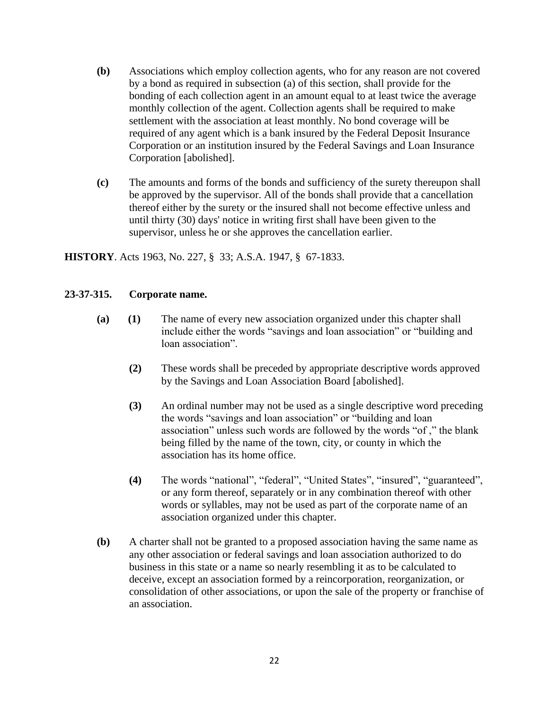- **(b)** Associations which employ collection agents, who for any reason are not covered by a bond as required in subsection (a) of this section, shall provide for the bonding of each collection agent in an amount equal to at least twice the average monthly collection of the agent. Collection agents shall be required to make settlement with the association at least monthly. No bond coverage will be required of any agent which is a bank insured by the Federal Deposit Insurance Corporation or an institution insured by the Federal Savings and Loan Insurance Corporation [abolished].
- **(c)** The amounts and forms of the bonds and sufficiency of the surety thereupon shall be approved by the supervisor. All of the bonds shall provide that a cancellation thereof either by the surety or the insured shall not become effective unless and until thirty (30) days' notice in writing first shall have been given to the supervisor, unless he or she approves the cancellation earlier.

**HISTORY**. Acts 1963, No. 227, § 33; A.S.A. 1947, § 67-1833.

#### **23-37-315. Corporate name.**

- **(a) (1)** The name of every new association organized under this chapter shall include either the words "savings and loan association" or "building and loan association".
	- **(2)** These words shall be preceded by appropriate descriptive words approved by the Savings and Loan Association Board [abolished].
	- **(3)** An ordinal number may not be used as a single descriptive word preceding the words "savings and loan association" or "building and loan association" unless such words are followed by the words "of ," the blank being filled by the name of the town, city, or county in which the association has its home office.
	- **(4)** The words "national", "federal", "United States", "insured", "guaranteed", or any form thereof, separately or in any combination thereof with other words or syllables, may not be used as part of the corporate name of an association organized under this chapter.
- **(b)** A charter shall not be granted to a proposed association having the same name as any other association or federal savings and loan association authorized to do business in this state or a name so nearly resembling it as to be calculated to deceive, except an association formed by a reincorporation, reorganization, or consolidation of other associations, or upon the sale of the property or franchise of an association.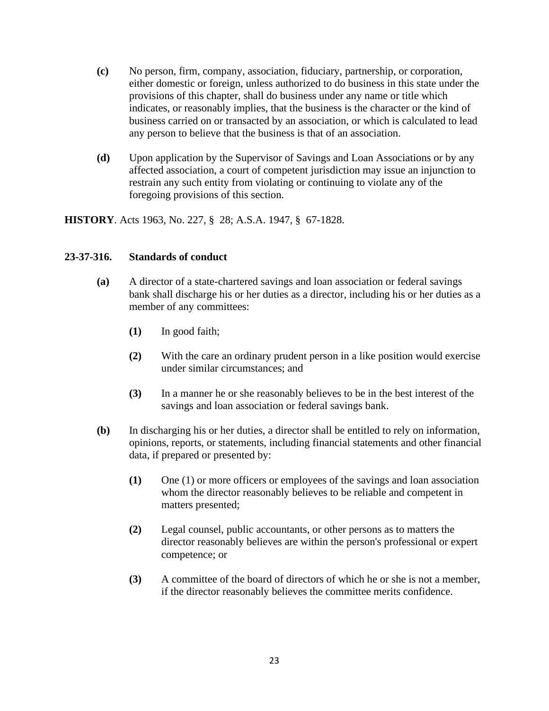- **(c)** No person, firm, company, association, fiduciary, partnership, or corporation, either domestic or foreign, unless authorized to do business in this state under the provisions of this chapter, shall do business under any name or title which indicates, or reasonably implies, that the business is the character or the kind of business carried on or transacted by an association, or which is calculated to lead any person to believe that the business is that of an association.
- **(d)** Upon application by the Supervisor of Savings and Loan Associations or by any affected association, a court of competent jurisdiction may issue an injunction to restrain any such entity from violating or continuing to violate any of the foregoing provisions of this section.

**HISTORY**. Acts 1963, No. 227, § 28; A.S.A. 1947, § 67-1828.

#### **23-37-316. Standards of conduct**

- **(a)** A director of a state-chartered savings and loan association or federal savings bank shall discharge his or her duties as a director, including his or her duties as a member of any committees:
	- **(1)** In good faith;
	- **(2)** With the care an ordinary prudent person in a like position would exercise under similar circumstances; and
	- **(3)** In a manner he or she reasonably believes to be in the best interest of the savings and loan association or federal savings bank.
- **(b)** In discharging his or her duties, a director shall be entitled to rely on information, opinions, reports, or statements, including financial statements and other financial data, if prepared or presented by:
	- **(1)** One (1) or more officers or employees of the savings and loan association whom the director reasonably believes to be reliable and competent in matters presented;
	- **(2)** Legal counsel, public accountants, or other persons as to matters the director reasonably believes are within the person's professional or expert competence; or
	- **(3)** A committee of the board of directors of which he or she is not a member, if the director reasonably believes the committee merits confidence.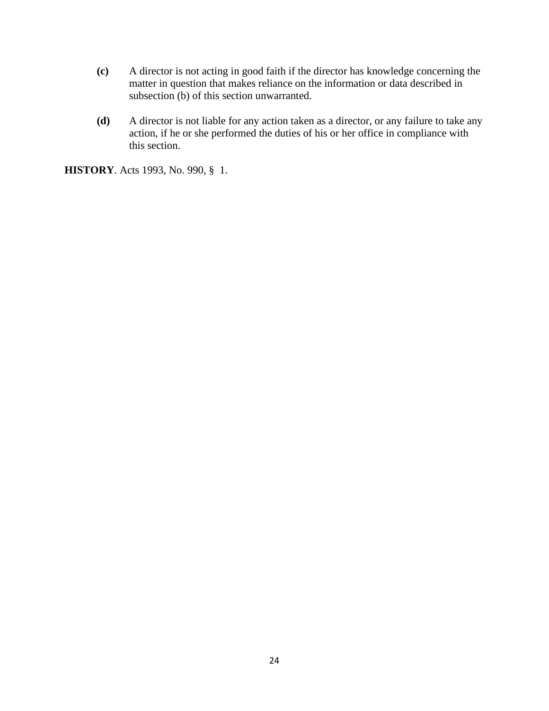- **(c)** A director is not acting in good faith if the director has knowledge concerning the matter in question that makes reliance on the information or data described in subsection (b) of this section unwarranted.
- **(d)** A director is not liable for any action taken as a director, or any failure to take any action, if he or she performed the duties of his or her office in compliance with this section.

**HISTORY**. Acts 1993, No. 990, § 1.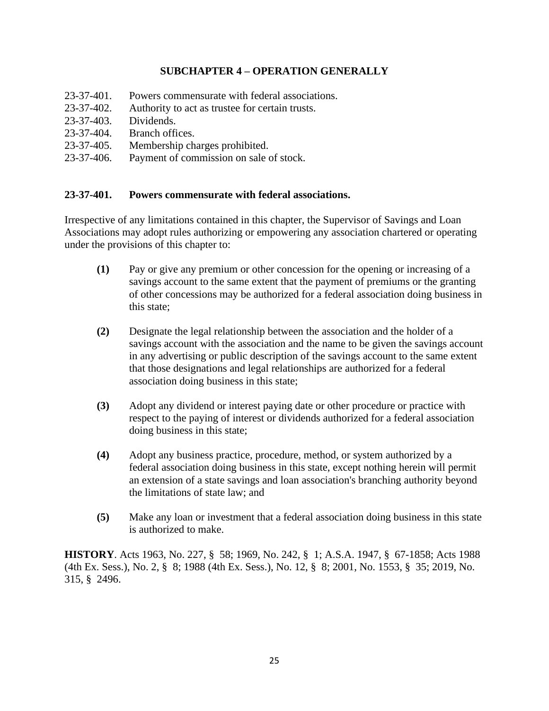# **SUBCHAPTER 4 – OPERATION GENERALLY**

- 23-37-401. Powers commensurate with federal associations.
- 23-37-402. Authority to act as trustee for certain trusts.
- 23-37-403. Dividends.
- 23-37-404. Branch offices.
- 23-37-405. Membership charges prohibited.
- 23-37-406. Payment of commission on sale of stock.

#### **23-37-401. Powers commensurate with federal associations.**

Irrespective of any limitations contained in this chapter, the Supervisor of Savings and Loan Associations may adopt rules authorizing or empowering any association chartered or operating under the provisions of this chapter to:

- **(1)** Pay or give any premium or other concession for the opening or increasing of a savings account to the same extent that the payment of premiums or the granting of other concessions may be authorized for a federal association doing business in this state;
- **(2)** Designate the legal relationship between the association and the holder of a savings account with the association and the name to be given the savings account in any advertising or public description of the savings account to the same extent that those designations and legal relationships are authorized for a federal association doing business in this state;
- **(3)** Adopt any dividend or interest paying date or other procedure or practice with respect to the paying of interest or dividends authorized for a federal association doing business in this state;
- **(4)** Adopt any business practice, procedure, method, or system authorized by a federal association doing business in this state, except nothing herein will permit an extension of a state savings and loan association's branching authority beyond the limitations of state law; and
- **(5)** Make any loan or investment that a federal association doing business in this state is authorized to make.

**HISTORY**. Acts 1963, No. 227, § 58; 1969, No. 242, § 1; A.S.A. 1947, § 67-1858; Acts 1988 (4th Ex. Sess.), No. 2, § 8; 1988 (4th Ex. Sess.), No. 12, § 8; 2001, No. 1553, § 35; 2019, No. 315, § 2496.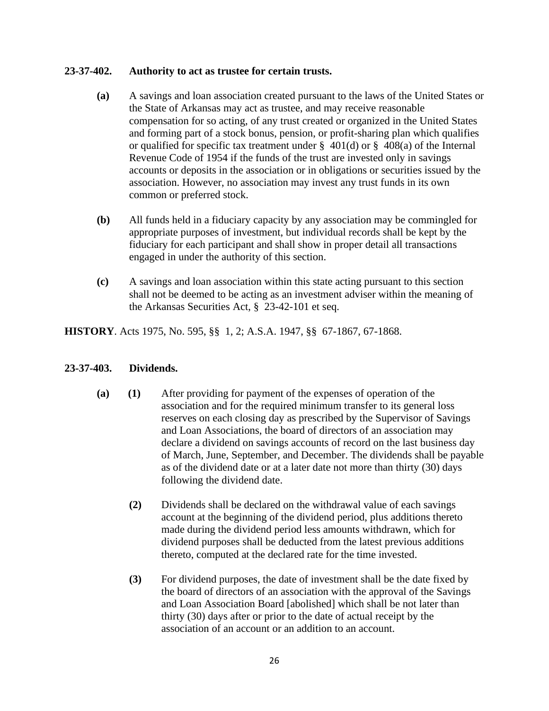# **23-37-402. Authority to act as trustee for certain trusts.**

- **(a)** A savings and loan association created pursuant to the laws of the United States or the State of Arkansas may act as trustee, and may receive reasonable compensation for so acting, of any trust created or organized in the United States and forming part of a stock bonus, pension, or profit-sharing plan which qualifies or qualified for specific tax treatment under  $\S$  401(d) or  $\S$  408(a) of the Internal Revenue Code of 1954 if the funds of the trust are invested only in savings accounts or deposits in the association or in obligations or securities issued by the association. However, no association may invest any trust funds in its own common or preferred stock.
- **(b)** All funds held in a fiduciary capacity by any association may be commingled for appropriate purposes of investment, but individual records shall be kept by the fiduciary for each participant and shall show in proper detail all transactions engaged in under the authority of this section.
- **(c)** A savings and loan association within this state acting pursuant to this section shall not be deemed to be acting as an investment adviser within the meaning of the Arkansas Securities Act, § 23-42-101 et seq.

**HISTORY**. Acts 1975, No. 595, §§ 1, 2; A.S.A. 1947, §§ 67-1867, 67-1868.

#### **23-37-403. Dividends.**

- **(a) (1)** After providing for payment of the expenses of operation of the association and for the required minimum transfer to its general loss reserves on each closing day as prescribed by the Supervisor of Savings and Loan Associations, the board of directors of an association may declare a dividend on savings accounts of record on the last business day of March, June, September, and December. The dividends shall be payable as of the dividend date or at a later date not more than thirty (30) days following the dividend date.
	- **(2)** Dividends shall be declared on the withdrawal value of each savings account at the beginning of the dividend period, plus additions thereto made during the dividend period less amounts withdrawn, which for dividend purposes shall be deducted from the latest previous additions thereto, computed at the declared rate for the time invested.
	- **(3)** For dividend purposes, the date of investment shall be the date fixed by the board of directors of an association with the approval of the Savings and Loan Association Board [abolished] which shall be not later than thirty (30) days after or prior to the date of actual receipt by the association of an account or an addition to an account.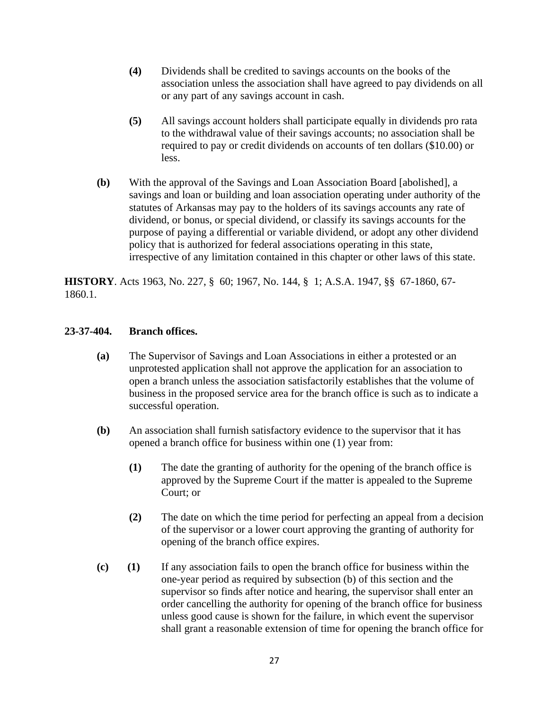- **(4)** Dividends shall be credited to savings accounts on the books of the association unless the association shall have agreed to pay dividends on all or any part of any savings account in cash.
- **(5)** All savings account holders shall participate equally in dividends pro rata to the withdrawal value of their savings accounts; no association shall be required to pay or credit dividends on accounts of ten dollars (\$10.00) or less.
- **(b)** With the approval of the Savings and Loan Association Board [abolished], a savings and loan or building and loan association operating under authority of the statutes of Arkansas may pay to the holders of its savings accounts any rate of dividend, or bonus, or special dividend, or classify its savings accounts for the purpose of paying a differential or variable dividend, or adopt any other dividend policy that is authorized for federal associations operating in this state, irrespective of any limitation contained in this chapter or other laws of this state.

**HISTORY**. Acts 1963, No. 227, § 60; 1967, No. 144, § 1; A.S.A. 1947, §§ 67-1860, 67- 1860.1.

# **23-37-404. Branch offices.**

- **(a)** The Supervisor of Savings and Loan Associations in either a protested or an unprotested application shall not approve the application for an association to open a branch unless the association satisfactorily establishes that the volume of business in the proposed service area for the branch office is such as to indicate a successful operation.
- **(b)** An association shall furnish satisfactory evidence to the supervisor that it has opened a branch office for business within one (1) year from:
	- **(1)** The date the granting of authority for the opening of the branch office is approved by the Supreme Court if the matter is appealed to the Supreme Court; or
	- **(2)** The date on which the time period for perfecting an appeal from a decision of the supervisor or a lower court approving the granting of authority for opening of the branch office expires.
- **(c) (1)** If any association fails to open the branch office for business within the one-year period as required by subsection (b) of this section and the supervisor so finds after notice and hearing, the supervisor shall enter an order cancelling the authority for opening of the branch office for business unless good cause is shown for the failure, in which event the supervisor shall grant a reasonable extension of time for opening the branch office for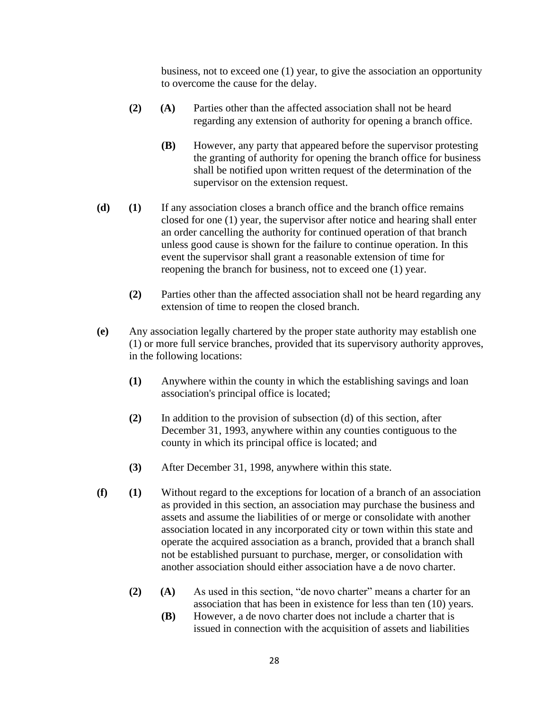business, not to exceed one (1) year, to give the association an opportunity to overcome the cause for the delay.

- **(2) (A)** Parties other than the affected association shall not be heard regarding any extension of authority for opening a branch office.
	- **(B)** However, any party that appeared before the supervisor protesting the granting of authority for opening the branch office for business shall be notified upon written request of the determination of the supervisor on the extension request.
- **(d) (1)** If any association closes a branch office and the branch office remains closed for one (1) year, the supervisor after notice and hearing shall enter an order cancelling the authority for continued operation of that branch unless good cause is shown for the failure to continue operation. In this event the supervisor shall grant a reasonable extension of time for reopening the branch for business, not to exceed one (1) year.
	- **(2)** Parties other than the affected association shall not be heard regarding any extension of time to reopen the closed branch.
- **(e)** Any association legally chartered by the proper state authority may establish one (1) or more full service branches, provided that its supervisory authority approves, in the following locations:
	- **(1)** Anywhere within the county in which the establishing savings and loan association's principal office is located;
	- **(2)** In addition to the provision of subsection (d) of this section, after December 31, 1993, anywhere within any counties contiguous to the county in which its principal office is located; and
	- **(3)** After December 31, 1998, anywhere within this state.
- **(f) (1)** Without regard to the exceptions for location of a branch of an association as provided in this section, an association may purchase the business and assets and assume the liabilities of or merge or consolidate with another association located in any incorporated city or town within this state and operate the acquired association as a branch, provided that a branch shall not be established pursuant to purchase, merger, or consolidation with another association should either association have a de novo charter.
	- **(2) (A)** As used in this section, "de novo charter" means a charter for an association that has been in existence for less than ten (10) years.
		- **(B)** However, a de novo charter does not include a charter that is issued in connection with the acquisition of assets and liabilities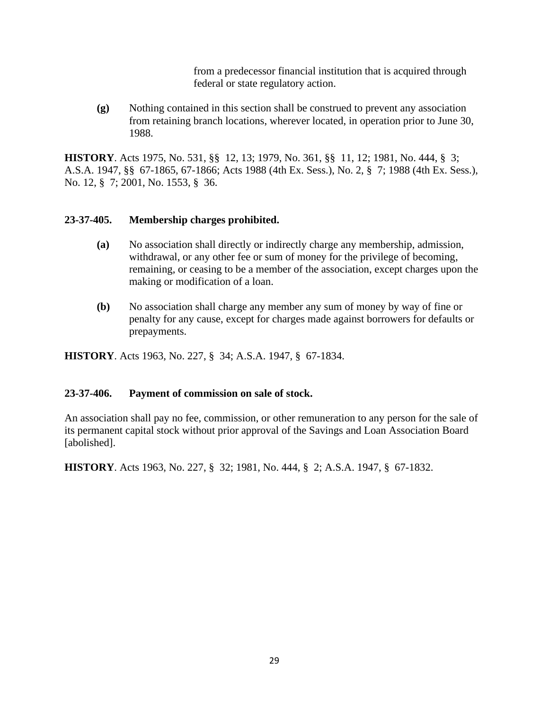from a predecessor financial institution that is acquired through federal or state regulatory action.

**(g)** Nothing contained in this section shall be construed to prevent any association from retaining branch locations, wherever located, in operation prior to June 30, 1988.

**HISTORY**. Acts 1975, No. 531, §§ 12, 13; 1979, No. 361, §§ 11, 12; 1981, No. 444, § 3; A.S.A. 1947, §§ 67-1865, 67-1866; Acts 1988 (4th Ex. Sess.), No. 2, § 7; 1988 (4th Ex. Sess.), No. 12, § 7; 2001, No. 1553, § 36.

# **23-37-405. Membership charges prohibited.**

- **(a)** No association shall directly or indirectly charge any membership, admission, withdrawal, or any other fee or sum of money for the privilege of becoming, remaining, or ceasing to be a member of the association, except charges upon the making or modification of a loan.
- **(b)** No association shall charge any member any sum of money by way of fine or penalty for any cause, except for charges made against borrowers for defaults or prepayments.

**HISTORY**. Acts 1963, No. 227, § 34; A.S.A. 1947, § 67-1834.

#### **23-37-406. Payment of commission on sale of stock.**

An association shall pay no fee, commission, or other remuneration to any person for the sale of its permanent capital stock without prior approval of the Savings and Loan Association Board [abolished].

**HISTORY**. Acts 1963, No. 227, § 32; 1981, No. 444, § 2; A.S.A. 1947, § 67-1832.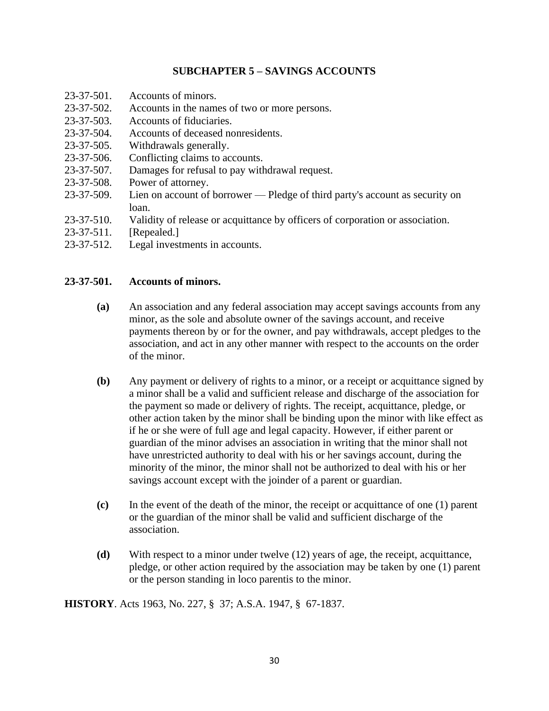# **SUBCHAPTER 5 – SAVINGS ACCOUNTS**

- 23-37-501. Accounts of minors.
- 23-37-502. Accounts in the names of two or more persons.
- 23-37-503. Accounts of fiduciaries.
- 23-37-504. Accounts of deceased nonresidents.
- 23-37-505. Withdrawals generally.
- 23-37-506. Conflicting claims to accounts.
- 23-37-507. Damages for refusal to pay withdrawal request.
- 23-37-508. Power of attorney.
- 23-37-509. Lien on account of borrower Pledge of third party's account as security on loan.
- 23-37-510. Validity of release or acquittance by officers of corporation or association.
- 23-37-511. [Repealed.]
- 23-37-512. Legal investments in accounts.

#### **23-37-501. Accounts of minors.**

- **(a)** An association and any federal association may accept savings accounts from any minor, as the sole and absolute owner of the savings account, and receive payments thereon by or for the owner, and pay withdrawals, accept pledges to the association, and act in any other manner with respect to the accounts on the order of the minor.
- **(b)** Any payment or delivery of rights to a minor, or a receipt or acquittance signed by a minor shall be a valid and sufficient release and discharge of the association for the payment so made or delivery of rights. The receipt, acquittance, pledge, or other action taken by the minor shall be binding upon the minor with like effect as if he or she were of full age and legal capacity. However, if either parent or guardian of the minor advises an association in writing that the minor shall not have unrestricted authority to deal with his or her savings account, during the minority of the minor, the minor shall not be authorized to deal with his or her savings account except with the joinder of a parent or guardian.
- **(c)** In the event of the death of the minor, the receipt or acquittance of one (1) parent or the guardian of the minor shall be valid and sufficient discharge of the association.
- **(d)** With respect to a minor under twelve (12) years of age, the receipt, acquittance, pledge, or other action required by the association may be taken by one (1) parent or the person standing in loco parentis to the minor.

**HISTORY**. Acts 1963, No. 227, § 37; A.S.A. 1947, § 67-1837.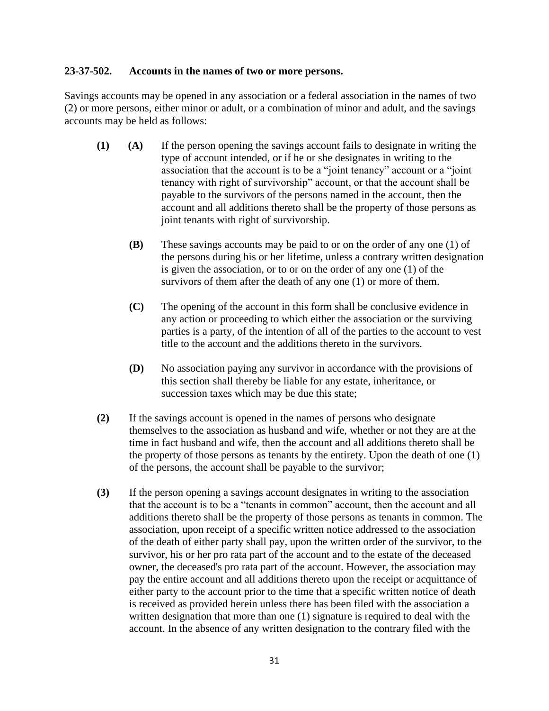### **23-37-502. Accounts in the names of two or more persons.**

Savings accounts may be opened in any association or a federal association in the names of two (2) or more persons, either minor or adult, or a combination of minor and adult, and the savings accounts may be held as follows:

- **(1) (A)** If the person opening the savings account fails to designate in writing the type of account intended, or if he or she designates in writing to the association that the account is to be a "joint tenancy" account or a "joint tenancy with right of survivorship" account, or that the account shall be payable to the survivors of the persons named in the account, then the account and all additions thereto shall be the property of those persons as joint tenants with right of survivorship.
	- **(B)** These savings accounts may be paid to or on the order of any one (1) of the persons during his or her lifetime, unless a contrary written designation is given the association, or to or on the order of any one (1) of the survivors of them after the death of any one (1) or more of them.
	- **(C)** The opening of the account in this form shall be conclusive evidence in any action or proceeding to which either the association or the surviving parties is a party, of the intention of all of the parties to the account to vest title to the account and the additions thereto in the survivors.
	- **(D)** No association paying any survivor in accordance with the provisions of this section shall thereby be liable for any estate, inheritance, or succession taxes which may be due this state;
- **(2)** If the savings account is opened in the names of persons who designate themselves to the association as husband and wife, whether or not they are at the time in fact husband and wife, then the account and all additions thereto shall be the property of those persons as tenants by the entirety. Upon the death of one (1) of the persons, the account shall be payable to the survivor;
- **(3)** If the person opening a savings account designates in writing to the association that the account is to be a "tenants in common" account, then the account and all additions thereto shall be the property of those persons as tenants in common. The association, upon receipt of a specific written notice addressed to the association of the death of either party shall pay, upon the written order of the survivor, to the survivor, his or her pro rata part of the account and to the estate of the deceased owner, the deceased's pro rata part of the account. However, the association may pay the entire account and all additions thereto upon the receipt or acquittance of either party to the account prior to the time that a specific written notice of death is received as provided herein unless there has been filed with the association a written designation that more than one (1) signature is required to deal with the account. In the absence of any written designation to the contrary filed with the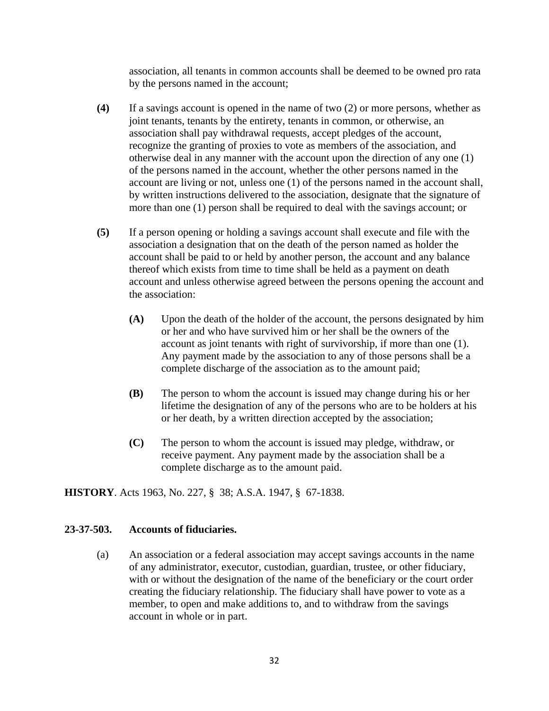association, all tenants in common accounts shall be deemed to be owned pro rata by the persons named in the account;

- **(4)** If a savings account is opened in the name of two (2) or more persons, whether as joint tenants, tenants by the entirety, tenants in common, or otherwise, an association shall pay withdrawal requests, accept pledges of the account, recognize the granting of proxies to vote as members of the association, and otherwise deal in any manner with the account upon the direction of any one (1) of the persons named in the account, whether the other persons named in the account are living or not, unless one (1) of the persons named in the account shall, by written instructions delivered to the association, designate that the signature of more than one (1) person shall be required to deal with the savings account; or
- **(5)** If a person opening or holding a savings account shall execute and file with the association a designation that on the death of the person named as holder the account shall be paid to or held by another person, the account and any balance thereof which exists from time to time shall be held as a payment on death account and unless otherwise agreed between the persons opening the account and the association:
	- **(A)** Upon the death of the holder of the account, the persons designated by him or her and who have survived him or her shall be the owners of the account as joint tenants with right of survivorship, if more than one (1). Any payment made by the association to any of those persons shall be a complete discharge of the association as to the amount paid;
	- **(B)** The person to whom the account is issued may change during his or her lifetime the designation of any of the persons who are to be holders at his or her death, by a written direction accepted by the association;
	- **(C)** The person to whom the account is issued may pledge, withdraw, or receive payment. Any payment made by the association shall be a complete discharge as to the amount paid.

**HISTORY**. Acts 1963, No. 227, § 38; A.S.A. 1947, § 67-1838.

#### **23-37-503. Accounts of fiduciaries.**

(a) An association or a federal association may accept savings accounts in the name of any administrator, executor, custodian, guardian, trustee, or other fiduciary, with or without the designation of the name of the beneficiary or the court order creating the fiduciary relationship. The fiduciary shall have power to vote as a member, to open and make additions to, and to withdraw from the savings account in whole or in part.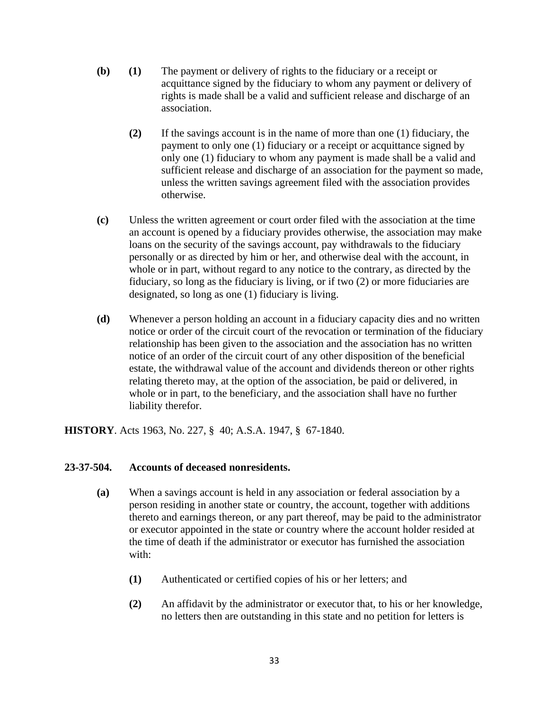- **(b) (1)** The payment or delivery of rights to the fiduciary or a receipt or acquittance signed by the fiduciary to whom any payment or delivery of rights is made shall be a valid and sufficient release and discharge of an association.
	- **(2)** If the savings account is in the name of more than one (1) fiduciary, the payment to only one (1) fiduciary or a receipt or acquittance signed by only one (1) fiduciary to whom any payment is made shall be a valid and sufficient release and discharge of an association for the payment so made, unless the written savings agreement filed with the association provides otherwise.
- **(c)** Unless the written agreement or court order filed with the association at the time an account is opened by a fiduciary provides otherwise, the association may make loans on the security of the savings account, pay withdrawals to the fiduciary personally or as directed by him or her, and otherwise deal with the account, in whole or in part, without regard to any notice to the contrary, as directed by the fiduciary, so long as the fiduciary is living, or if two (2) or more fiduciaries are designated, so long as one (1) fiduciary is living.
- **(d)** Whenever a person holding an account in a fiduciary capacity dies and no written notice or order of the circuit court of the revocation or termination of the fiduciary relationship has been given to the association and the association has no written notice of an order of the circuit court of any other disposition of the beneficial estate, the withdrawal value of the account and dividends thereon or other rights relating thereto may, at the option of the association, be paid or delivered, in whole or in part, to the beneficiary, and the association shall have no further liability therefor.

**HISTORY**. Acts 1963, No. 227, § 40; A.S.A. 1947, § 67-1840.

#### **23-37-504. Accounts of deceased nonresidents.**

- **(a)** When a savings account is held in any association or federal association by a person residing in another state or country, the account, together with additions thereto and earnings thereon, or any part thereof, may be paid to the administrator or executor appointed in the state or country where the account holder resided at the time of death if the administrator or executor has furnished the association with:
	- **(1)** Authenticated or certified copies of his or her letters; and
	- **(2)** An affidavit by the administrator or executor that, to his or her knowledge, no letters then are outstanding in this state and no petition for letters is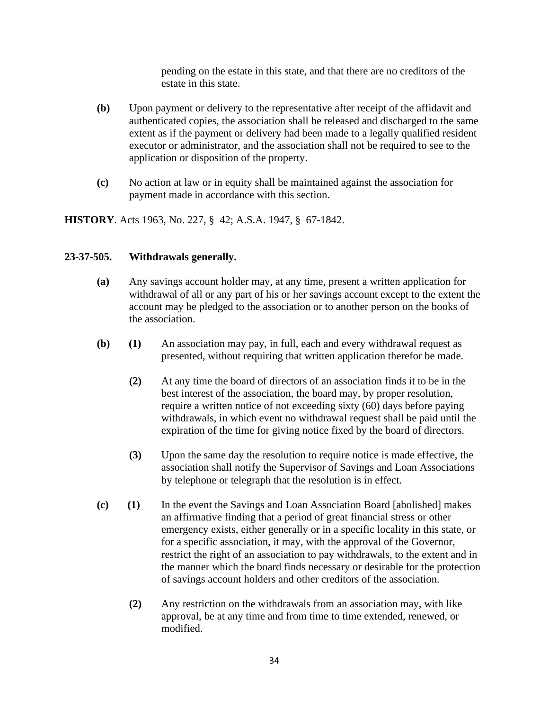pending on the estate in this state, and that there are no creditors of the estate in this state.

- **(b)** Upon payment or delivery to the representative after receipt of the affidavit and authenticated copies, the association shall be released and discharged to the same extent as if the payment or delivery had been made to a legally qualified resident executor or administrator, and the association shall not be required to see to the application or disposition of the property.
- **(c)** No action at law or in equity shall be maintained against the association for payment made in accordance with this section.

**HISTORY**. Acts 1963, No. 227, § 42; A.S.A. 1947, § 67-1842.

# **23-37-505. Withdrawals generally.**

- **(a)** Any savings account holder may, at any time, present a written application for withdrawal of all or any part of his or her savings account except to the extent the account may be pledged to the association or to another person on the books of the association.
- **(b) (1)** An association may pay, in full, each and every withdrawal request as presented, without requiring that written application therefor be made.
	- **(2)** At any time the board of directors of an association finds it to be in the best interest of the association, the board may, by proper resolution, require a written notice of not exceeding sixty (60) days before paying withdrawals, in which event no withdrawal request shall be paid until the expiration of the time for giving notice fixed by the board of directors.
	- **(3)** Upon the same day the resolution to require notice is made effective, the association shall notify the Supervisor of Savings and Loan Associations by telephone or telegraph that the resolution is in effect.
- **(c) (1)** In the event the Savings and Loan Association Board [abolished] makes an affirmative finding that a period of great financial stress or other emergency exists, either generally or in a specific locality in this state, or for a specific association, it may, with the approval of the Governor, restrict the right of an association to pay withdrawals, to the extent and in the manner which the board finds necessary or desirable for the protection of savings account holders and other creditors of the association.
	- **(2)** Any restriction on the withdrawals from an association may, with like approval, be at any time and from time to time extended, renewed, or modified.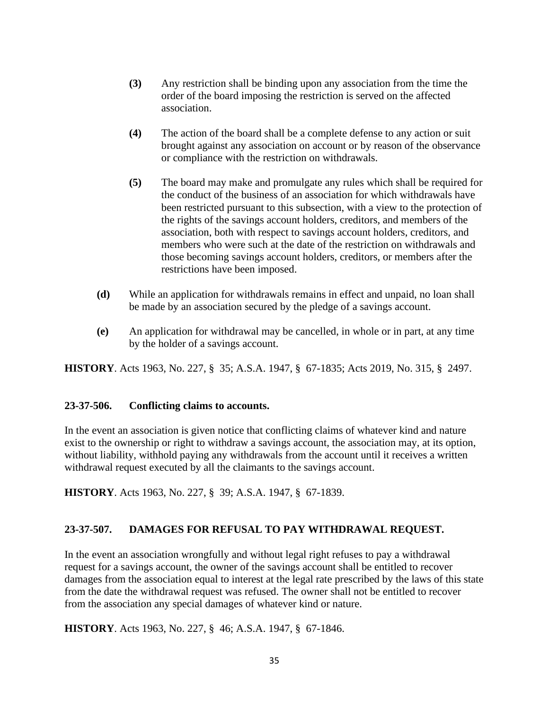- **(3)** Any restriction shall be binding upon any association from the time the order of the board imposing the restriction is served on the affected association.
- **(4)** The action of the board shall be a complete defense to any action or suit brought against any association on account or by reason of the observance or compliance with the restriction on withdrawals.
- **(5)** The board may make and promulgate any rules which shall be required for the conduct of the business of an association for which withdrawals have been restricted pursuant to this subsection, with a view to the protection of the rights of the savings account holders, creditors, and members of the association, both with respect to savings account holders, creditors, and members who were such at the date of the restriction on withdrawals and those becoming savings account holders, creditors, or members after the restrictions have been imposed.
- **(d)** While an application for withdrawals remains in effect and unpaid, no loan shall be made by an association secured by the pledge of a savings account.
- **(e)** An application for withdrawal may be cancelled, in whole or in part, at any time by the holder of a savings account.

**HISTORY**. Acts 1963, No. 227, § 35; A.S.A. 1947, § 67-1835; Acts 2019, No. 315, § 2497.

#### **23-37-506. Conflicting claims to accounts.**

In the event an association is given notice that conflicting claims of whatever kind and nature exist to the ownership or right to withdraw a savings account, the association may, at its option, without liability, withhold paying any withdrawals from the account until it receives a written withdrawal request executed by all the claimants to the savings account.

**HISTORY**. Acts 1963, No. 227, § 39; A.S.A. 1947, § 67-1839.

# **23-37-507. DAMAGES FOR REFUSAL TO PAY WITHDRAWAL REQUEST.**

In the event an association wrongfully and without legal right refuses to pay a withdrawal request for a savings account, the owner of the savings account shall be entitled to recover damages from the association equal to interest at the legal rate prescribed by the laws of this state from the date the withdrawal request was refused. The owner shall not be entitled to recover from the association any special damages of whatever kind or nature.

**HISTORY**. Acts 1963, No. 227, § 46; A.S.A. 1947, § 67-1846.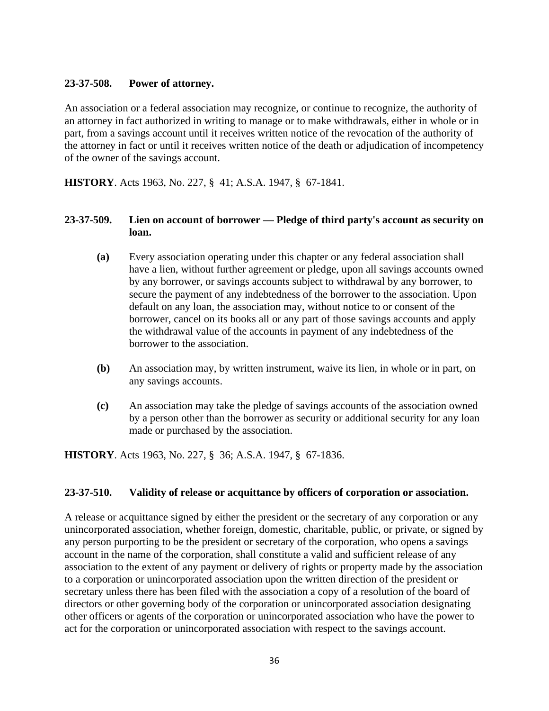# **23-37-508. Power of attorney.**

An association or a federal association may recognize, or continue to recognize, the authority of an attorney in fact authorized in writing to manage or to make withdrawals, either in whole or in part, from a savings account until it receives written notice of the revocation of the authority of the attorney in fact or until it receives written notice of the death or adjudication of incompetency of the owner of the savings account.

**HISTORY**. Acts 1963, No. 227, § 41; A.S.A. 1947, § 67-1841.

# **23-37-509. Lien on account of borrower — Pledge of third party's account as security on loan.**

- **(a)** Every association operating under this chapter or any federal association shall have a lien, without further agreement or pledge, upon all savings accounts owned by any borrower, or savings accounts subject to withdrawal by any borrower, to secure the payment of any indebtedness of the borrower to the association. Upon default on any loan, the association may, without notice to or consent of the borrower, cancel on its books all or any part of those savings accounts and apply the withdrawal value of the accounts in payment of any indebtedness of the borrower to the association.
- **(b)** An association may, by written instrument, waive its lien, in whole or in part, on any savings accounts.
- **(c)** An association may take the pledge of savings accounts of the association owned by a person other than the borrower as security or additional security for any loan made or purchased by the association.

**HISTORY**. Acts 1963, No. 227, § 36; A.S.A. 1947, § 67-1836.

#### **23-37-510. Validity of release or acquittance by officers of corporation or association.**

A release or acquittance signed by either the president or the secretary of any corporation or any unincorporated association, whether foreign, domestic, charitable, public, or private, or signed by any person purporting to be the president or secretary of the corporation, who opens a savings account in the name of the corporation, shall constitute a valid and sufficient release of any association to the extent of any payment or delivery of rights or property made by the association to a corporation or unincorporated association upon the written direction of the president or secretary unless there has been filed with the association a copy of a resolution of the board of directors or other governing body of the corporation or unincorporated association designating other officers or agents of the corporation or unincorporated association who have the power to act for the corporation or unincorporated association with respect to the savings account.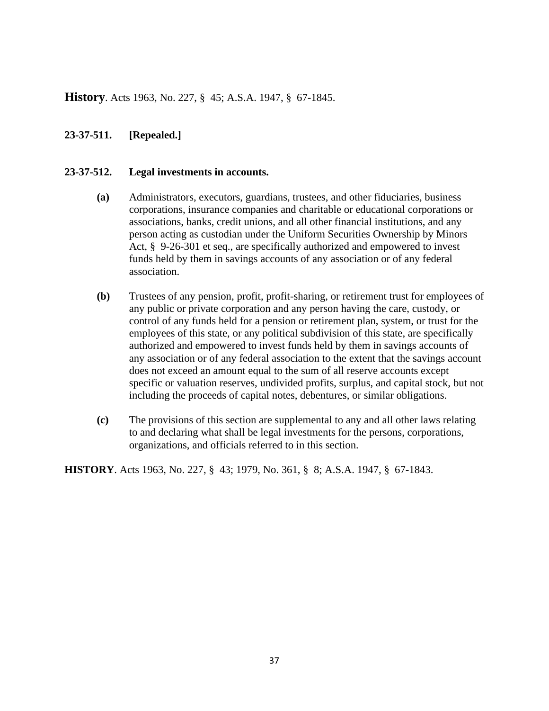**History**. Acts 1963, No. 227, § 45; A.S.A. 1947, § 67-1845.

# **23-37-511. [Repealed.]**

#### **23-37-512. Legal investments in accounts.**

- **(a)** Administrators, executors, guardians, trustees, and other fiduciaries, business corporations, insurance companies and charitable or educational corporations or associations, banks, credit unions, and all other financial institutions, and any person acting as custodian under the Uniform Securities Ownership by Minors Act, § 9-26-301 et seq., are specifically authorized and empowered to invest funds held by them in savings accounts of any association or of any federal association.
- **(b)** Trustees of any pension, profit, profit-sharing, or retirement trust for employees of any public or private corporation and any person having the care, custody, or control of any funds held for a pension or retirement plan, system, or trust for the employees of this state, or any political subdivision of this state, are specifically authorized and empowered to invest funds held by them in savings accounts of any association or of any federal association to the extent that the savings account does not exceed an amount equal to the sum of all reserve accounts except specific or valuation reserves, undivided profits, surplus, and capital stock, but not including the proceeds of capital notes, debentures, or similar obligations.
- **(c)** The provisions of this section are supplemental to any and all other laws relating to and declaring what shall be legal investments for the persons, corporations, organizations, and officials referred to in this section.

**HISTORY**. Acts 1963, No. 227, § 43; 1979, No. 361, § 8; A.S.A. 1947, § 67-1843.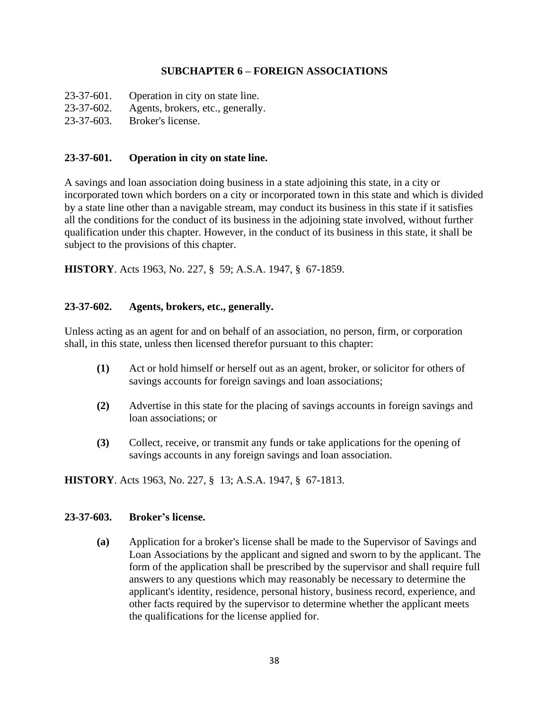# **SUBCHAPTER 6 – FOREIGN ASSOCIATIONS**

- 23-37-601. Operation in city on state line.
- 23-37-602. Agents, brokers, etc., generally.
- 23-37-603. Broker's license.

# **23-37-601. Operation in city on state line.**

A savings and loan association doing business in a state adjoining this state, in a city or incorporated town which borders on a city or incorporated town in this state and which is divided by a state line other than a navigable stream, may conduct its business in this state if it satisfies all the conditions for the conduct of its business in the adjoining state involved, without further qualification under this chapter. However, in the conduct of its business in this state, it shall be subject to the provisions of this chapter.

**HISTORY**. Acts 1963, No. 227, § 59; A.S.A. 1947, § 67-1859.

# **23-37-602. Agents, brokers, etc., generally.**

Unless acting as an agent for and on behalf of an association, no person, firm, or corporation shall, in this state, unless then licensed therefor pursuant to this chapter:

- **(1)** Act or hold himself or herself out as an agent, broker, or solicitor for others of savings accounts for foreign savings and loan associations;
- **(2)** Advertise in this state for the placing of savings accounts in foreign savings and loan associations; or
- **(3)** Collect, receive, or transmit any funds or take applications for the opening of savings accounts in any foreign savings and loan association.

**HISTORY**. Acts 1963, No. 227, § 13; A.S.A. 1947, § 67-1813.

#### **23-37-603. Broker's license.**

**(a)** Application for a broker's license shall be made to the Supervisor of Savings and Loan Associations by the applicant and signed and sworn to by the applicant. The form of the application shall be prescribed by the supervisor and shall require full answers to any questions which may reasonably be necessary to determine the applicant's identity, residence, personal history, business record, experience, and other facts required by the supervisor to determine whether the applicant meets the qualifications for the license applied for.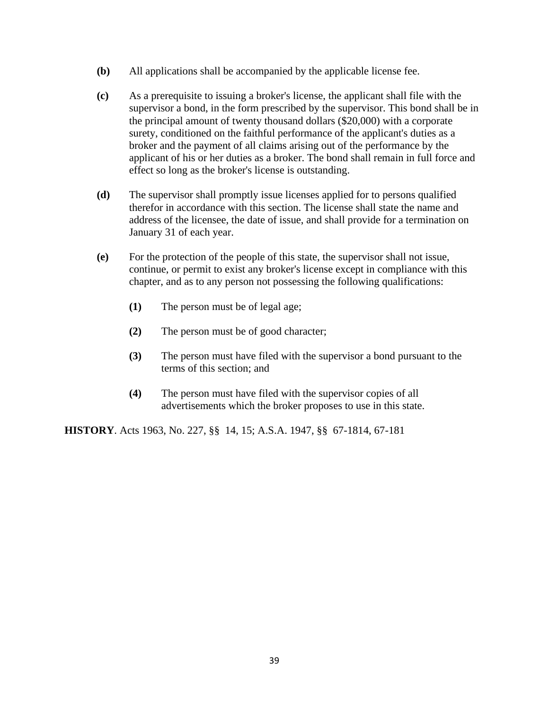- **(b)** All applications shall be accompanied by the applicable license fee.
- **(c)** As a prerequisite to issuing a broker's license, the applicant shall file with the supervisor a bond, in the form prescribed by the supervisor. This bond shall be in the principal amount of twenty thousand dollars (\$20,000) with a corporate surety, conditioned on the faithful performance of the applicant's duties as a broker and the payment of all claims arising out of the performance by the applicant of his or her duties as a broker. The bond shall remain in full force and effect so long as the broker's license is outstanding.
- **(d)** The supervisor shall promptly issue licenses applied for to persons qualified therefor in accordance with this section. The license shall state the name and address of the licensee, the date of issue, and shall provide for a termination on January 31 of each year.
- **(e)** For the protection of the people of this state, the supervisor shall not issue, continue, or permit to exist any broker's license except in compliance with this chapter, and as to any person not possessing the following qualifications:
	- **(1)** The person must be of legal age;
	- **(2)** The person must be of good character;
	- **(3)** The person must have filed with the supervisor a bond pursuant to the terms of this section; and
	- **(4)** The person must have filed with the supervisor copies of all advertisements which the broker proposes to use in this state.

**HISTORY**. Acts 1963, No. 227, §§ 14, 15; A.S.A. 1947, §§ 67-1814, 67-181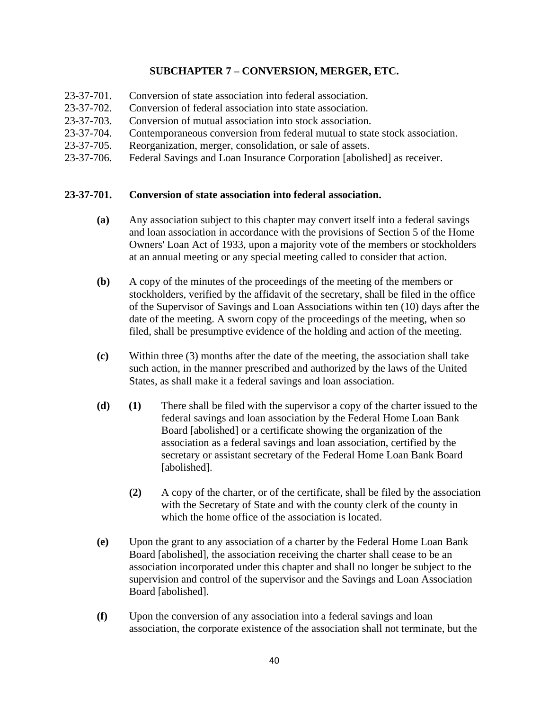# **SUBCHAPTER 7 – CONVERSION, MERGER, ETC.**

- 23-37-701. Conversion of state association into federal association.
- 23-37-702. Conversion of federal association into state association.
- 23-37-703. Conversion of mutual association into stock association.
- 23-37-704. Contemporaneous conversion from federal mutual to state stock association.
- 23-37-705. Reorganization, merger, consolidation, or sale of assets.
- 23-37-706. Federal Savings and Loan Insurance Corporation [abolished] as receiver.

# **23-37-701. Conversion of state association into federal association.**

- **(a)** Any association subject to this chapter may convert itself into a federal savings and loan association in accordance with the provisions of Section 5 of the Home Owners' Loan Act of 1933, upon a majority vote of the members or stockholders at an annual meeting or any special meeting called to consider that action.
- **(b)** A copy of the minutes of the proceedings of the meeting of the members or stockholders, verified by the affidavit of the secretary, shall be filed in the office of the Supervisor of Savings and Loan Associations within ten (10) days after the date of the meeting. A sworn copy of the proceedings of the meeting, when so filed, shall be presumptive evidence of the holding and action of the meeting.
- **(c)** Within three (3) months after the date of the meeting, the association shall take such action, in the manner prescribed and authorized by the laws of the United States, as shall make it a federal savings and loan association.
- **(d) (1)** There shall be filed with the supervisor a copy of the charter issued to the federal savings and loan association by the Federal Home Loan Bank Board [abolished] or a certificate showing the organization of the association as a federal savings and loan association, certified by the secretary or assistant secretary of the Federal Home Loan Bank Board [abolished].
	- **(2)** A copy of the charter, or of the certificate, shall be filed by the association with the Secretary of State and with the county clerk of the county in which the home office of the association is located.
- **(e)** Upon the grant to any association of a charter by the Federal Home Loan Bank Board [abolished], the association receiving the charter shall cease to be an association incorporated under this chapter and shall no longer be subject to the supervision and control of the supervisor and the Savings and Loan Association Board [abolished].
- **(f)** Upon the conversion of any association into a federal savings and loan association, the corporate existence of the association shall not terminate, but the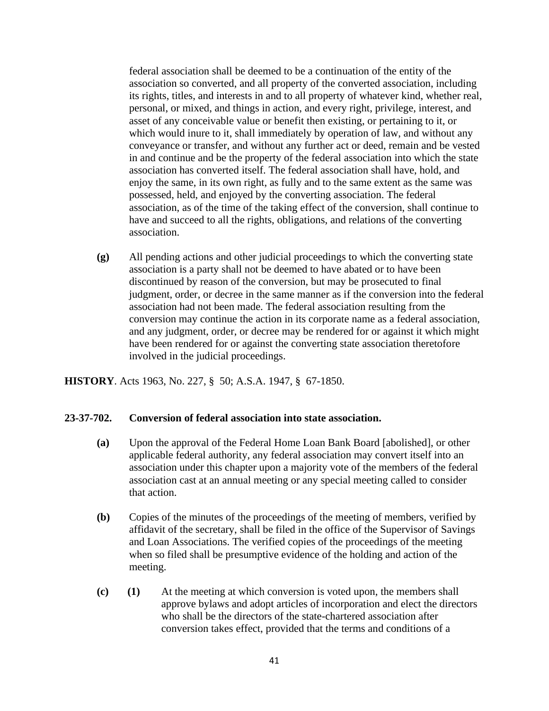federal association shall be deemed to be a continuation of the entity of the association so converted, and all property of the converted association, including its rights, titles, and interests in and to all property of whatever kind, whether real, personal, or mixed, and things in action, and every right, privilege, interest, and asset of any conceivable value or benefit then existing, or pertaining to it, or which would inure to it, shall immediately by operation of law, and without any conveyance or transfer, and without any further act or deed, remain and be vested in and continue and be the property of the federal association into which the state association has converted itself. The federal association shall have, hold, and enjoy the same, in its own right, as fully and to the same extent as the same was possessed, held, and enjoyed by the converting association. The federal association, as of the time of the taking effect of the conversion, shall continue to have and succeed to all the rights, obligations, and relations of the converting association.

**(g)** All pending actions and other judicial proceedings to which the converting state association is a party shall not be deemed to have abated or to have been discontinued by reason of the conversion, but may be prosecuted to final judgment, order, or decree in the same manner as if the conversion into the federal association had not been made. The federal association resulting from the conversion may continue the action in its corporate name as a federal association, and any judgment, order, or decree may be rendered for or against it which might have been rendered for or against the converting state association theretofore involved in the judicial proceedings.

**HISTORY**. Acts 1963, No. 227, § 50; A.S.A. 1947, § 67-1850.

#### **23-37-702. Conversion of federal association into state association.**

- **(a)** Upon the approval of the Federal Home Loan Bank Board [abolished], or other applicable federal authority, any federal association may convert itself into an association under this chapter upon a majority vote of the members of the federal association cast at an annual meeting or any special meeting called to consider that action.
- **(b)** Copies of the minutes of the proceedings of the meeting of members, verified by affidavit of the secretary, shall be filed in the office of the Supervisor of Savings and Loan Associations. The verified copies of the proceedings of the meeting when so filed shall be presumptive evidence of the holding and action of the meeting.
- **(c) (1)** At the meeting at which conversion is voted upon, the members shall approve bylaws and adopt articles of incorporation and elect the directors who shall be the directors of the state-chartered association after conversion takes effect, provided that the terms and conditions of a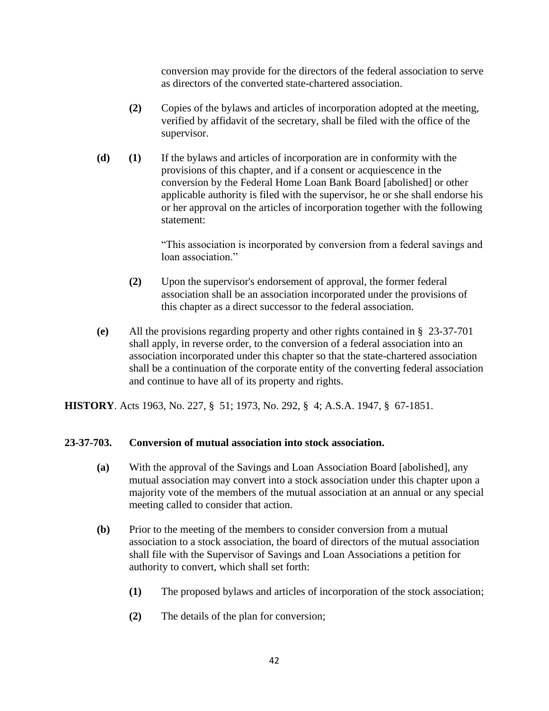conversion may provide for the directors of the federal association to serve as directors of the converted state-chartered association.

- **(2)** Copies of the bylaws and articles of incorporation adopted at the meeting, verified by affidavit of the secretary, shall be filed with the office of the supervisor.
- **(d) (1)** If the bylaws and articles of incorporation are in conformity with the provisions of this chapter, and if a consent or acquiescence in the conversion by the Federal Home Loan Bank Board [abolished] or other applicable authority is filed with the supervisor, he or she shall endorse his or her approval on the articles of incorporation together with the following statement:

"This association is incorporated by conversion from a federal savings and loan association."

- **(2)** Upon the supervisor's endorsement of approval, the former federal association shall be an association incorporated under the provisions of this chapter as a direct successor to the federal association.
- **(e)** All the provisions regarding property and other rights contained in § 23-37-701 shall apply, in reverse order, to the conversion of a federal association into an association incorporated under this chapter so that the state-chartered association shall be a continuation of the corporate entity of the converting federal association and continue to have all of its property and rights.

**HISTORY**. Acts 1963, No. 227, § 51; 1973, No. 292, § 4; A.S.A. 1947, § 67-1851.

# **23-37-703. Conversion of mutual association into stock association.**

- **(a)** With the approval of the Savings and Loan Association Board [abolished], any mutual association may convert into a stock association under this chapter upon a majority vote of the members of the mutual association at an annual or any special meeting called to consider that action.
- **(b)** Prior to the meeting of the members to consider conversion from a mutual association to a stock association, the board of directors of the mutual association shall file with the Supervisor of Savings and Loan Associations a petition for authority to convert, which shall set forth:
	- **(1)** The proposed bylaws and articles of incorporation of the stock association;
	- **(2)** The details of the plan for conversion;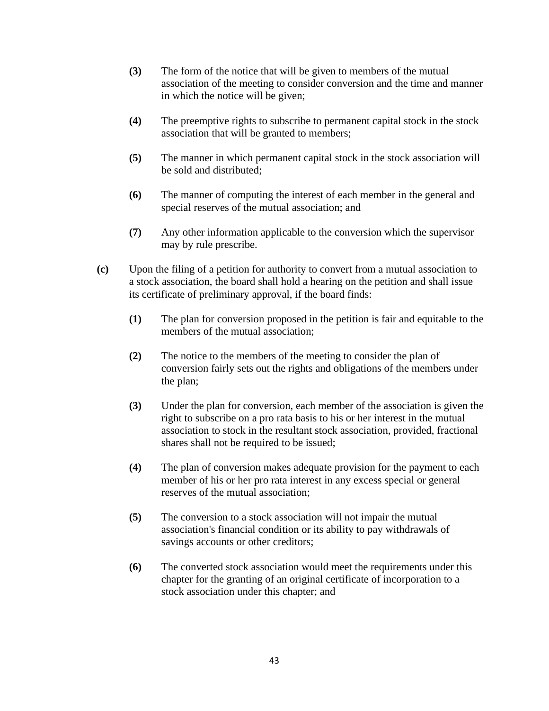- **(3)** The form of the notice that will be given to members of the mutual association of the meeting to consider conversion and the time and manner in which the notice will be given;
- **(4)** The preemptive rights to subscribe to permanent capital stock in the stock association that will be granted to members;
- **(5)** The manner in which permanent capital stock in the stock association will be sold and distributed;
- **(6)** The manner of computing the interest of each member in the general and special reserves of the mutual association; and
- **(7)** Any other information applicable to the conversion which the supervisor may by rule prescribe.
- **(c)** Upon the filing of a petition for authority to convert from a mutual association to a stock association, the board shall hold a hearing on the petition and shall issue its certificate of preliminary approval, if the board finds:
	- **(1)** The plan for conversion proposed in the petition is fair and equitable to the members of the mutual association;
	- **(2)** The notice to the members of the meeting to consider the plan of conversion fairly sets out the rights and obligations of the members under the plan;
	- **(3)** Under the plan for conversion, each member of the association is given the right to subscribe on a pro rata basis to his or her interest in the mutual association to stock in the resultant stock association, provided, fractional shares shall not be required to be issued;
	- **(4)** The plan of conversion makes adequate provision for the payment to each member of his or her pro rata interest in any excess special or general reserves of the mutual association;
	- **(5)** The conversion to a stock association will not impair the mutual association's financial condition or its ability to pay withdrawals of savings accounts or other creditors;
	- **(6)** The converted stock association would meet the requirements under this chapter for the granting of an original certificate of incorporation to a stock association under this chapter; and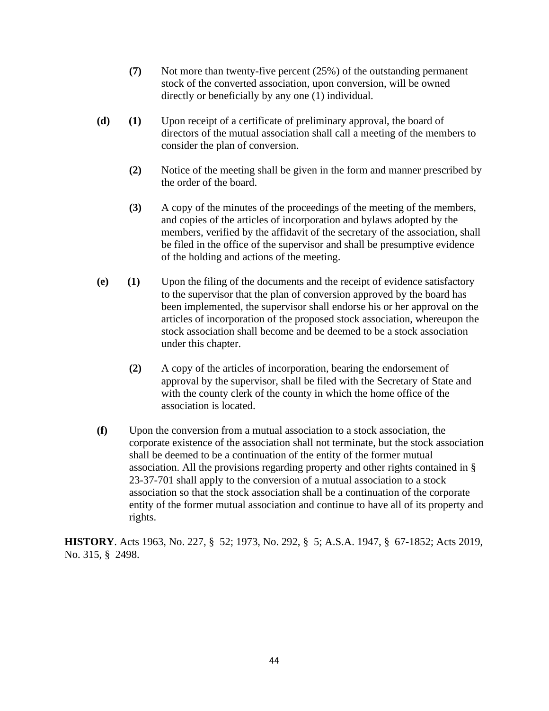- **(7)** Not more than twenty-five percent (25%) of the outstanding permanent stock of the converted association, upon conversion, will be owned directly or beneficially by any one (1) individual.
- **(d) (1)** Upon receipt of a certificate of preliminary approval, the board of directors of the mutual association shall call a meeting of the members to consider the plan of conversion.
	- **(2)** Notice of the meeting shall be given in the form and manner prescribed by the order of the board.
	- **(3)** A copy of the minutes of the proceedings of the meeting of the members, and copies of the articles of incorporation and bylaws adopted by the members, verified by the affidavit of the secretary of the association, shall be filed in the office of the supervisor and shall be presumptive evidence of the holding and actions of the meeting.
- **(e) (1)** Upon the filing of the documents and the receipt of evidence satisfactory to the supervisor that the plan of conversion approved by the board has been implemented, the supervisor shall endorse his or her approval on the articles of incorporation of the proposed stock association, whereupon the stock association shall become and be deemed to be a stock association under this chapter.
	- **(2)** A copy of the articles of incorporation, bearing the endorsement of approval by the supervisor, shall be filed with the Secretary of State and with the county clerk of the county in which the home office of the association is located.
- **(f)** Upon the conversion from a mutual association to a stock association, the corporate existence of the association shall not terminate, but the stock association shall be deemed to be a continuation of the entity of the former mutual association. All the provisions regarding property and other rights contained in § 23-37-701 shall apply to the conversion of a mutual association to a stock association so that the stock association shall be a continuation of the corporate entity of the former mutual association and continue to have all of its property and rights.

**HISTORY**. Acts 1963, No. 227, § 52; 1973, No. 292, § 5; A.S.A. 1947, § 67-1852; Acts 2019, No. 315, § 2498.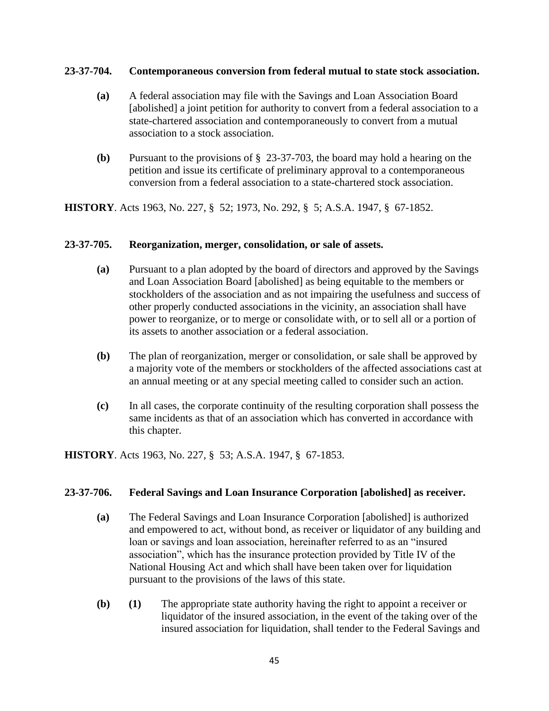#### **23-37-704. Contemporaneous conversion from federal mutual to state stock association.**

- **(a)** A federal association may file with the Savings and Loan Association Board [abolished] a joint petition for authority to convert from a federal association to a state-chartered association and contemporaneously to convert from a mutual association to a stock association.
- **(b)** Pursuant to the provisions of § 23-37-703, the board may hold a hearing on the petition and issue its certificate of preliminary approval to a contemporaneous conversion from a federal association to a state-chartered stock association.

**HISTORY**. Acts 1963, No. 227, § 52; 1973, No. 292, § 5; A.S.A. 1947, § 67-1852.

#### **23-37-705. Reorganization, merger, consolidation, or sale of assets.**

- **(a)** Pursuant to a plan adopted by the board of directors and approved by the Savings and Loan Association Board [abolished] as being equitable to the members or stockholders of the association and as not impairing the usefulness and success of other properly conducted associations in the vicinity, an association shall have power to reorganize, or to merge or consolidate with, or to sell all or a portion of its assets to another association or a federal association.
- **(b)** The plan of reorganization, merger or consolidation, or sale shall be approved by a majority vote of the members or stockholders of the affected associations cast at an annual meeting or at any special meeting called to consider such an action.
- **(c)** In all cases, the corporate continuity of the resulting corporation shall possess the same incidents as that of an association which has converted in accordance with this chapter.

**HISTORY**. Acts 1963, No. 227, § 53; A.S.A. 1947, § 67-1853.

#### **23-37-706. Federal Savings and Loan Insurance Corporation [abolished] as receiver.**

- **(a)** The Federal Savings and Loan Insurance Corporation [abolished] is authorized and empowered to act, without bond, as receiver or liquidator of any building and loan or savings and loan association, hereinafter referred to as an "insured association", which has the insurance protection provided by Title IV of the National Housing Act and which shall have been taken over for liquidation pursuant to the provisions of the laws of this state.
- **(b) (1)** The appropriate state authority having the right to appoint a receiver or liquidator of the insured association, in the event of the taking over of the insured association for liquidation, shall tender to the Federal Savings and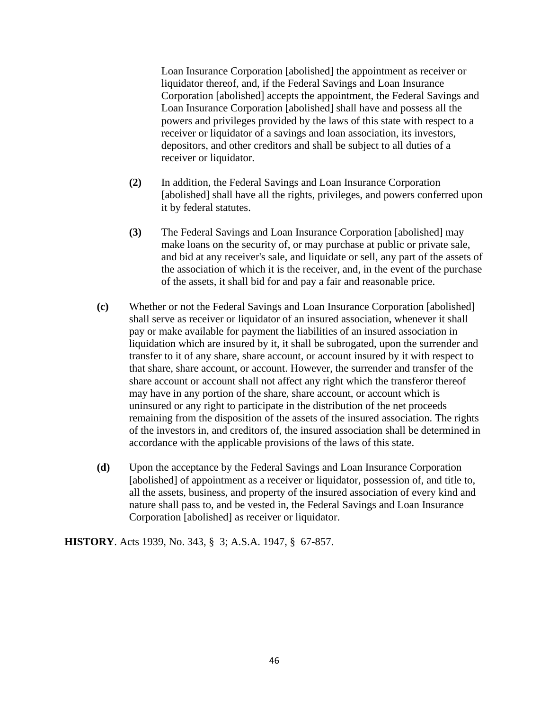Loan Insurance Corporation [abolished] the appointment as receiver or liquidator thereof, and, if the Federal Savings and Loan Insurance Corporation [abolished] accepts the appointment, the Federal Savings and Loan Insurance Corporation [abolished] shall have and possess all the powers and privileges provided by the laws of this state with respect to a receiver or liquidator of a savings and loan association, its investors, depositors, and other creditors and shall be subject to all duties of a receiver or liquidator.

- **(2)** In addition, the Federal Savings and Loan Insurance Corporation [abolished] shall have all the rights, privileges, and powers conferred upon it by federal statutes.
- **(3)** The Federal Savings and Loan Insurance Corporation [abolished] may make loans on the security of, or may purchase at public or private sale, and bid at any receiver's sale, and liquidate or sell, any part of the assets of the association of which it is the receiver, and, in the event of the purchase of the assets, it shall bid for and pay a fair and reasonable price.
- **(c)** Whether or not the Federal Savings and Loan Insurance Corporation [abolished] shall serve as receiver or liquidator of an insured association, whenever it shall pay or make available for payment the liabilities of an insured association in liquidation which are insured by it, it shall be subrogated, upon the surrender and transfer to it of any share, share account, or account insured by it with respect to that share, share account, or account. However, the surrender and transfer of the share account or account shall not affect any right which the transferor thereof may have in any portion of the share, share account, or account which is uninsured or any right to participate in the distribution of the net proceeds remaining from the disposition of the assets of the insured association. The rights of the investors in, and creditors of, the insured association shall be determined in accordance with the applicable provisions of the laws of this state.
- **(d)** Upon the acceptance by the Federal Savings and Loan Insurance Corporation [abolished] of appointment as a receiver or liquidator, possession of, and title to, all the assets, business, and property of the insured association of every kind and nature shall pass to, and be vested in, the Federal Savings and Loan Insurance Corporation [abolished] as receiver or liquidator.

**HISTORY**. Acts 1939, No. 343, § 3; A.S.A. 1947, § 67-857.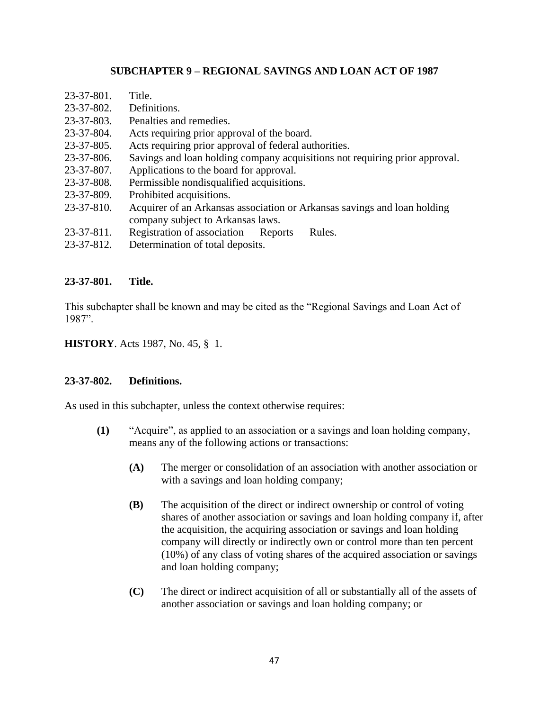# **SUBCHAPTER 9 – REGIONAL SAVINGS AND LOAN ACT OF 1987**

| $23 - 37 - 801$ . | Title.                                                                                                        |
|-------------------|---------------------------------------------------------------------------------------------------------------|
| $23 - 37 - 802$ . | Definitions.                                                                                                  |
| $23 - 37 - 803$ . | Penalties and remedies.                                                                                       |
| 23-37-804.        | Acts requiring prior approval of the board.                                                                   |
| $23 - 37 - 805$ . | Acts requiring prior approval of federal authorities.                                                         |
| 23-37-806.        | Savings and loan holding company acquisitions not requiring prior approval.                                   |
| 23-37-807.        | Applications to the board for approval.                                                                       |
| 23-37-808.        | Permissible nondisqualified acquisitions.                                                                     |
| 23-37-809.        | Prohibited acquisitions.                                                                                      |
| $23 - 37 - 810.$  | Acquirer of an Arkansas association or Arkansas savings and loan holding<br>company subject to Arkansas laws. |
| $23 - 37 - 811$ . | Registration of association — Reports — Rules.                                                                |
| 23-37-812.        | Determination of total deposits.                                                                              |
|                   |                                                                                                               |

#### **23-37-801. Title.**

This subchapter shall be known and may be cited as the "Regional Savings and Loan Act of 1987".

**HISTORY**. Acts 1987, No. 45, § 1.

#### **23-37-802. Definitions.**

As used in this subchapter, unless the context otherwise requires:

- **(1)** "Acquire", as applied to an association or a savings and loan holding company, means any of the following actions or transactions:
	- **(A)** The merger or consolidation of an association with another association or with a savings and loan holding company;
	- **(B)** The acquisition of the direct or indirect ownership or control of voting shares of another association or savings and loan holding company if, after the acquisition, the acquiring association or savings and loan holding company will directly or indirectly own or control more than ten percent (10%) of any class of voting shares of the acquired association or savings and loan holding company;
	- **(C)** The direct or indirect acquisition of all or substantially all of the assets of another association or savings and loan holding company; or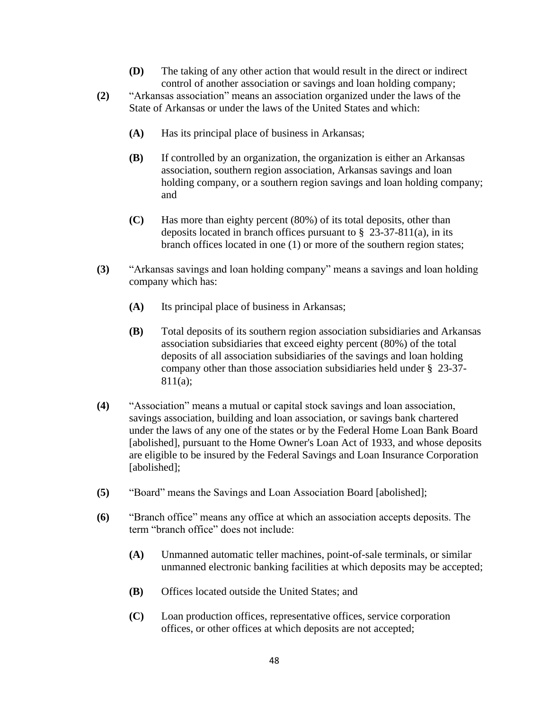- **(D)** The taking of any other action that would result in the direct or indirect control of another association or savings and loan holding company;
- **(2)** "Arkansas association" means an association organized under the laws of the State of Arkansas or under the laws of the United States and which:
	- **(A)** Has its principal place of business in Arkansas;
	- **(B)** If controlled by an organization, the organization is either an Arkansas association, southern region association, Arkansas savings and loan holding company, or a southern region savings and loan holding company; and
	- **(C)** Has more than eighty percent (80%) of its total deposits, other than deposits located in branch offices pursuant to  $\S$  23-37-811(a), in its branch offices located in one (1) or more of the southern region states;
- **(3)** "Arkansas savings and loan holding company" means a savings and loan holding company which has:
	- **(A)** Its principal place of business in Arkansas;
	- **(B)** Total deposits of its southern region association subsidiaries and Arkansas association subsidiaries that exceed eighty percent (80%) of the total deposits of all association subsidiaries of the savings and loan holding company other than those association subsidiaries held under § 23-37- 811(a);
- **(4)** "Association" means a mutual or capital stock savings and loan association, savings association, building and loan association, or savings bank chartered under the laws of any one of the states or by the Federal Home Loan Bank Board [abolished], pursuant to the Home Owner's Loan Act of 1933, and whose deposits are eligible to be insured by the Federal Savings and Loan Insurance Corporation [abolished];
- **(5)** "Board" means the Savings and Loan Association Board [abolished];
- **(6)** "Branch office" means any office at which an association accepts deposits. The term "branch office" does not include:
	- **(A)** Unmanned automatic teller machines, point-of-sale terminals, or similar unmanned electronic banking facilities at which deposits may be accepted;
	- **(B)** Offices located outside the United States; and
	- **(C)** Loan production offices, representative offices, service corporation offices, or other offices at which deposits are not accepted;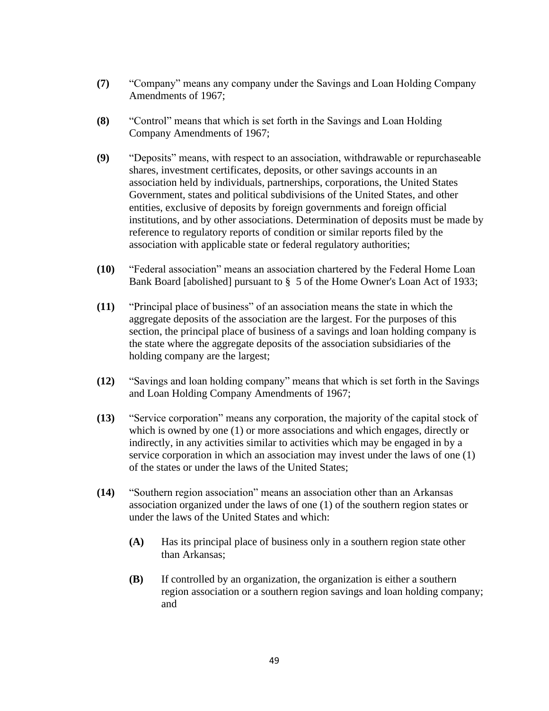- **(7)** "Company" means any company under the Savings and Loan Holding Company Amendments of 1967;
- **(8)** "Control" means that which is set forth in the Savings and Loan Holding Company Amendments of 1967;
- **(9)** "Deposits" means, with respect to an association, withdrawable or repurchaseable shares, investment certificates, deposits, or other savings accounts in an association held by individuals, partnerships, corporations, the United States Government, states and political subdivisions of the United States, and other entities, exclusive of deposits by foreign governments and foreign official institutions, and by other associations. Determination of deposits must be made by reference to regulatory reports of condition or similar reports filed by the association with applicable state or federal regulatory authorities;
- **(10)** "Federal association" means an association chartered by the Federal Home Loan Bank Board [abolished] pursuant to § 5 of the Home Owner's Loan Act of 1933;
- **(11)** "Principal place of business" of an association means the state in which the aggregate deposits of the association are the largest. For the purposes of this section, the principal place of business of a savings and loan holding company is the state where the aggregate deposits of the association subsidiaries of the holding company are the largest;
- **(12)** "Savings and loan holding company" means that which is set forth in the Savings and Loan Holding Company Amendments of 1967;
- **(13)** "Service corporation" means any corporation, the majority of the capital stock of which is owned by one (1) or more associations and which engages, directly or indirectly, in any activities similar to activities which may be engaged in by a service corporation in which an association may invest under the laws of one (1) of the states or under the laws of the United States;
- **(14)** "Southern region association" means an association other than an Arkansas association organized under the laws of one (1) of the southern region states or under the laws of the United States and which:
	- **(A)** Has its principal place of business only in a southern region state other than Arkansas;
	- **(B)** If controlled by an organization, the organization is either a southern region association or a southern region savings and loan holding company; and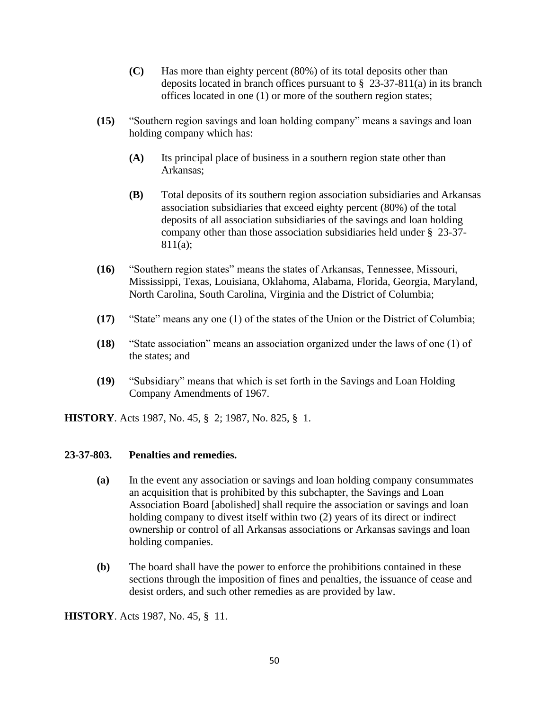- **(C)** Has more than eighty percent (80%) of its total deposits other than deposits located in branch offices pursuant to  $\S$  23-37-811(a) in its branch offices located in one (1) or more of the southern region states;
- **(15)** "Southern region savings and loan holding company" means a savings and loan holding company which has:
	- **(A)** Its principal place of business in a southern region state other than Arkansas;
	- **(B)** Total deposits of its southern region association subsidiaries and Arkansas association subsidiaries that exceed eighty percent (80%) of the total deposits of all association subsidiaries of the savings and loan holding company other than those association subsidiaries held under § 23-37- 811(a);
- **(16)** "Southern region states" means the states of Arkansas, Tennessee, Missouri, Mississippi, Texas, Louisiana, Oklahoma, Alabama, Florida, Georgia, Maryland, North Carolina, South Carolina, Virginia and the District of Columbia;
- **(17)** "State" means any one (1) of the states of the Union or the District of Columbia;
- **(18)** "State association" means an association organized under the laws of one (1) of the states; and
- **(19)** "Subsidiary" means that which is set forth in the Savings and Loan Holding Company Amendments of 1967.

**HISTORY**. Acts 1987, No. 45, § 2; 1987, No. 825, § 1.

#### **23-37-803. Penalties and remedies.**

- **(a)** In the event any association or savings and loan holding company consummates an acquisition that is prohibited by this subchapter, the Savings and Loan Association Board [abolished] shall require the association or savings and loan holding company to divest itself within two (2) years of its direct or indirect ownership or control of all Arkansas associations or Arkansas savings and loan holding companies.
- **(b)** The board shall have the power to enforce the prohibitions contained in these sections through the imposition of fines and penalties, the issuance of cease and desist orders, and such other remedies as are provided by law.

**HISTORY**. Acts 1987, No. 45, § 11.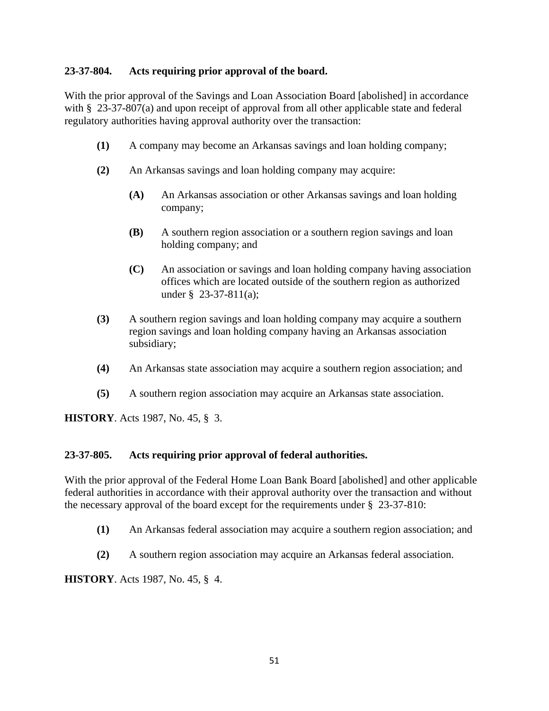# **23-37-804. Acts requiring prior approval of the board.**

With the prior approval of the Savings and Loan Association Board [abolished] in accordance with § 23-37-807(a) and upon receipt of approval from all other applicable state and federal regulatory authorities having approval authority over the transaction:

- **(1)** A company may become an Arkansas savings and loan holding company;
- **(2)** An Arkansas savings and loan holding company may acquire:
	- **(A)** An Arkansas association or other Arkansas savings and loan holding company;
	- **(B)** A southern region association or a southern region savings and loan holding company; and
	- **(C)** An association or savings and loan holding company having association offices which are located outside of the southern region as authorized under § 23-37-811(a);
- **(3)** A southern region savings and loan holding company may acquire a southern region savings and loan holding company having an Arkansas association subsidiary;
- **(4)** An Arkansas state association may acquire a southern region association; and
- **(5)** A southern region association may acquire an Arkansas state association.

**HISTORY**. Acts 1987, No. 45, § 3.

#### **23-37-805. Acts requiring prior approval of federal authorities.**

With the prior approval of the Federal Home Loan Bank Board [abolished] and other applicable federal authorities in accordance with their approval authority over the transaction and without the necessary approval of the board except for the requirements under § 23-37-810:

- **(1)** An Arkansas federal association may acquire a southern region association; and
- **(2)** A southern region association may acquire an Arkansas federal association.

**HISTORY**. Acts 1987, No. 45, § 4.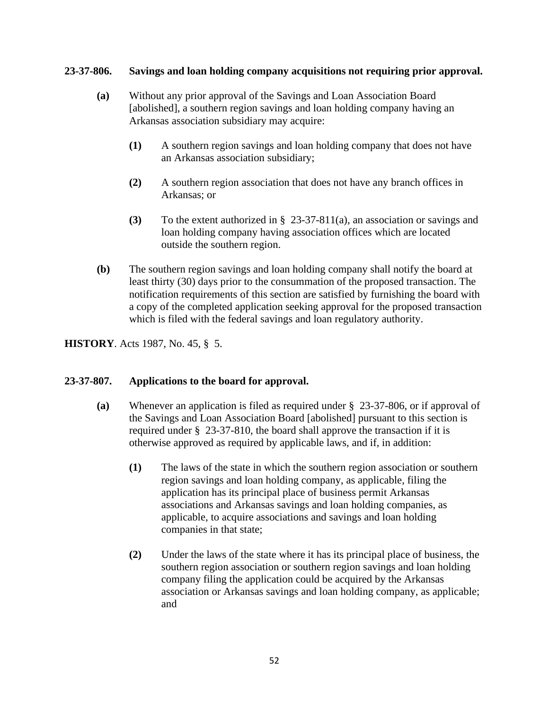# **23-37-806. Savings and loan holding company acquisitions not requiring prior approval.**

- **(a)** Without any prior approval of the Savings and Loan Association Board [abolished], a southern region savings and loan holding company having an Arkansas association subsidiary may acquire:
	- **(1)** A southern region savings and loan holding company that does not have an Arkansas association subsidiary;
	- **(2)** A southern region association that does not have any branch offices in Arkansas; or
	- **(3)** To the extent authorized in § 23-37-811(a), an association or savings and loan holding company having association offices which are located outside the southern region.
- **(b)** The southern region savings and loan holding company shall notify the board at least thirty (30) days prior to the consummation of the proposed transaction. The notification requirements of this section are satisfied by furnishing the board with a copy of the completed application seeking approval for the proposed transaction which is filed with the federal savings and loan regulatory authority.

# **HISTORY**. Acts 1987, No. 45, § 5.

# **23-37-807. Applications to the board for approval.**

- **(a)** Whenever an application is filed as required under § 23-37-806, or if approval of the Savings and Loan Association Board [abolished] pursuant to this section is required under § 23-37-810, the board shall approve the transaction if it is otherwise approved as required by applicable laws, and if, in addition:
	- **(1)** The laws of the state in which the southern region association or southern region savings and loan holding company, as applicable, filing the application has its principal place of business permit Arkansas associations and Arkansas savings and loan holding companies, as applicable, to acquire associations and savings and loan holding companies in that state;
	- **(2)** Under the laws of the state where it has its principal place of business, the southern region association or southern region savings and loan holding company filing the application could be acquired by the Arkansas association or Arkansas savings and loan holding company, as applicable; and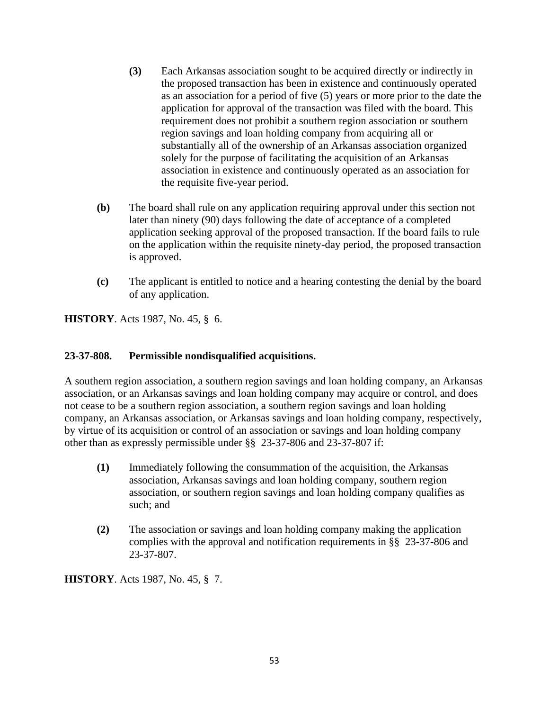- **(3)** Each Arkansas association sought to be acquired directly or indirectly in the proposed transaction has been in existence and continuously operated as an association for a period of five (5) years or more prior to the date the application for approval of the transaction was filed with the board. This requirement does not prohibit a southern region association or southern region savings and loan holding company from acquiring all or substantially all of the ownership of an Arkansas association organized solely for the purpose of facilitating the acquisition of an Arkansas association in existence and continuously operated as an association for the requisite five-year period.
- **(b)** The board shall rule on any application requiring approval under this section not later than ninety (90) days following the date of acceptance of a completed application seeking approval of the proposed transaction. If the board fails to rule on the application within the requisite ninety-day period, the proposed transaction is approved.
- **(c)** The applicant is entitled to notice and a hearing contesting the denial by the board of any application.

**HISTORY**. Acts 1987, No. 45, § 6.

# **23-37-808. Permissible nondisqualified acquisitions.**

A southern region association, a southern region savings and loan holding company, an Arkansas association, or an Arkansas savings and loan holding company may acquire or control, and does not cease to be a southern region association, a southern region savings and loan holding company, an Arkansas association, or Arkansas savings and loan holding company, respectively, by virtue of its acquisition or control of an association or savings and loan holding company other than as expressly permissible under §§ 23-37-806 and 23-37-807 if:

- **(1)** Immediately following the consummation of the acquisition, the Arkansas association, Arkansas savings and loan holding company, southern region association, or southern region savings and loan holding company qualifies as such; and
- **(2)** The association or savings and loan holding company making the application complies with the approval and notification requirements in §§ 23-37-806 and 23-37-807.

**HISTORY**. Acts 1987, No. 45, § 7.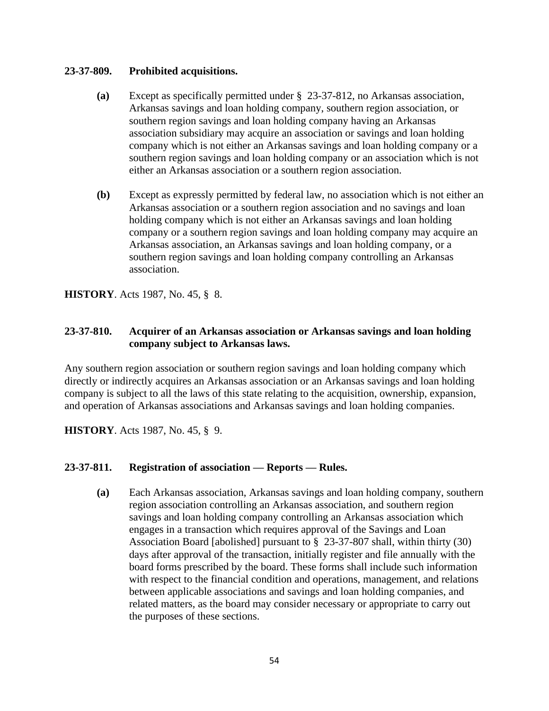# **23-37-809. Prohibited acquisitions.**

- **(a)** Except as specifically permitted under § 23-37-812, no Arkansas association, Arkansas savings and loan holding company, southern region association, or southern region savings and loan holding company having an Arkansas association subsidiary may acquire an association or savings and loan holding company which is not either an Arkansas savings and loan holding company or a southern region savings and loan holding company or an association which is not either an Arkansas association or a southern region association.
- **(b)** Except as expressly permitted by federal law, no association which is not either an Arkansas association or a southern region association and no savings and loan holding company which is not either an Arkansas savings and loan holding company or a southern region savings and loan holding company may acquire an Arkansas association, an Arkansas savings and loan holding company, or a southern region savings and loan holding company controlling an Arkansas association.

**HISTORY**. Acts 1987, No. 45, § 8.

# **23-37-810. Acquirer of an Arkansas association or Arkansas savings and loan holding company subject to Arkansas laws.**

Any southern region association or southern region savings and loan holding company which directly or indirectly acquires an Arkansas association or an Arkansas savings and loan holding company is subject to all the laws of this state relating to the acquisition, ownership, expansion, and operation of Arkansas associations and Arkansas savings and loan holding companies.

**HISTORY**. Acts 1987, No. 45, § 9.

#### **23-37-811. Registration of association — Reports — Rules.**

**(a)** Each Arkansas association, Arkansas savings and loan holding company, southern region association controlling an Arkansas association, and southern region savings and loan holding company controlling an Arkansas association which engages in a transaction which requires approval of the Savings and Loan Association Board [abolished] pursuant to § 23-37-807 shall, within thirty (30) days after approval of the transaction, initially register and file annually with the board forms prescribed by the board. These forms shall include such information with respect to the financial condition and operations, management, and relations between applicable associations and savings and loan holding companies, and related matters, as the board may consider necessary or appropriate to carry out the purposes of these sections.